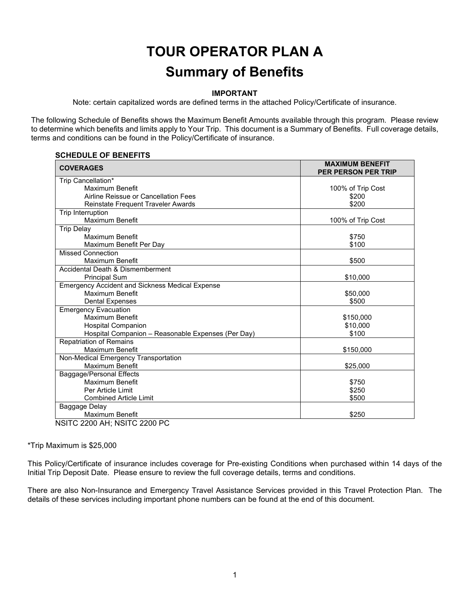# **TOUR OPERATOR PLAN A Summary of Benefits**

# **IMPORTANT**

Note: certain capitalized words are defined terms in the attached Policy/Certificate of insurance.

The following Schedule of Benefits shows the Maximum Benefit Amounts available through this program. Please review to determine which benefits and limits apply to Your Trip. This document is a Summary of Benefits. Full coverage details, terms and conditions can be found in the Policy/Certificate of insurance.

#### **SCHEDULE OF BENEFITS**

| Trip Cancellation*<br>Maximum Benefit<br>100% of Trip Cost<br>Airline Reissue or Cancellation Fees<br>\$200<br>\$200<br>Reinstate Frequent Traveler Awards<br>Trip Interruption<br>Maximum Benefit<br>100% of Trip Cost<br><b>Trip Delay</b><br>Maximum Benefit<br>\$750<br>\$100<br>Maximum Benefit Per Day<br><b>Missed Connection</b><br>Maximum Benefit<br>\$500<br>Accidental Death & Dismemberment<br>\$10,000<br><b>Principal Sum</b><br><b>Emergency Accident and Sickness Medical Expense</b><br>Maximum Benefit<br>\$50,000<br><b>Dental Expenses</b><br>\$500<br><b>Emergency Evacuation</b><br><b>Maximum Benefit</b><br>\$150,000<br><b>Hospital Companion</b><br>\$10,000<br>Hospital Companion - Reasonable Expenses (Per Day)<br>\$100<br><b>Repatriation of Remains</b><br>Maximum Benefit<br>\$150,000<br>Non-Medical Emergency Transportation<br>Maximum Benefit<br>\$25,000<br>Baggage/Personal Effects | <b>COVERAGES</b> | <b>MAXIMUM BENEFIT</b><br><b>PER PERSON PER TRIP</b> |
|-----------------------------------------------------------------------------------------------------------------------------------------------------------------------------------------------------------------------------------------------------------------------------------------------------------------------------------------------------------------------------------------------------------------------------------------------------------------------------------------------------------------------------------------------------------------------------------------------------------------------------------------------------------------------------------------------------------------------------------------------------------------------------------------------------------------------------------------------------------------------------------------------------------------------------|------------------|------------------------------------------------------|
|                                                                                                                                                                                                                                                                                                                                                                                                                                                                                                                                                                                                                                                                                                                                                                                                                                                                                                                             |                  |                                                      |
|                                                                                                                                                                                                                                                                                                                                                                                                                                                                                                                                                                                                                                                                                                                                                                                                                                                                                                                             |                  |                                                      |
|                                                                                                                                                                                                                                                                                                                                                                                                                                                                                                                                                                                                                                                                                                                                                                                                                                                                                                                             |                  |                                                      |
|                                                                                                                                                                                                                                                                                                                                                                                                                                                                                                                                                                                                                                                                                                                                                                                                                                                                                                                             |                  |                                                      |
|                                                                                                                                                                                                                                                                                                                                                                                                                                                                                                                                                                                                                                                                                                                                                                                                                                                                                                                             |                  |                                                      |
|                                                                                                                                                                                                                                                                                                                                                                                                                                                                                                                                                                                                                                                                                                                                                                                                                                                                                                                             |                  |                                                      |
|                                                                                                                                                                                                                                                                                                                                                                                                                                                                                                                                                                                                                                                                                                                                                                                                                                                                                                                             |                  |                                                      |
|                                                                                                                                                                                                                                                                                                                                                                                                                                                                                                                                                                                                                                                                                                                                                                                                                                                                                                                             |                  |                                                      |
|                                                                                                                                                                                                                                                                                                                                                                                                                                                                                                                                                                                                                                                                                                                                                                                                                                                                                                                             |                  |                                                      |
|                                                                                                                                                                                                                                                                                                                                                                                                                                                                                                                                                                                                                                                                                                                                                                                                                                                                                                                             |                  |                                                      |
|                                                                                                                                                                                                                                                                                                                                                                                                                                                                                                                                                                                                                                                                                                                                                                                                                                                                                                                             |                  |                                                      |
|                                                                                                                                                                                                                                                                                                                                                                                                                                                                                                                                                                                                                                                                                                                                                                                                                                                                                                                             |                  |                                                      |
|                                                                                                                                                                                                                                                                                                                                                                                                                                                                                                                                                                                                                                                                                                                                                                                                                                                                                                                             |                  |                                                      |
|                                                                                                                                                                                                                                                                                                                                                                                                                                                                                                                                                                                                                                                                                                                                                                                                                                                                                                                             |                  |                                                      |
|                                                                                                                                                                                                                                                                                                                                                                                                                                                                                                                                                                                                                                                                                                                                                                                                                                                                                                                             |                  |                                                      |
|                                                                                                                                                                                                                                                                                                                                                                                                                                                                                                                                                                                                                                                                                                                                                                                                                                                                                                                             |                  |                                                      |
|                                                                                                                                                                                                                                                                                                                                                                                                                                                                                                                                                                                                                                                                                                                                                                                                                                                                                                                             |                  |                                                      |
|                                                                                                                                                                                                                                                                                                                                                                                                                                                                                                                                                                                                                                                                                                                                                                                                                                                                                                                             |                  |                                                      |
|                                                                                                                                                                                                                                                                                                                                                                                                                                                                                                                                                                                                                                                                                                                                                                                                                                                                                                                             |                  |                                                      |
|                                                                                                                                                                                                                                                                                                                                                                                                                                                                                                                                                                                                                                                                                                                                                                                                                                                                                                                             |                  |                                                      |
|                                                                                                                                                                                                                                                                                                                                                                                                                                                                                                                                                                                                                                                                                                                                                                                                                                                                                                                             |                  |                                                      |
|                                                                                                                                                                                                                                                                                                                                                                                                                                                                                                                                                                                                                                                                                                                                                                                                                                                                                                                             |                  |                                                      |
|                                                                                                                                                                                                                                                                                                                                                                                                                                                                                                                                                                                                                                                                                                                                                                                                                                                                                                                             |                  |                                                      |
|                                                                                                                                                                                                                                                                                                                                                                                                                                                                                                                                                                                                                                                                                                                                                                                                                                                                                                                             |                  |                                                      |
|                                                                                                                                                                                                                                                                                                                                                                                                                                                                                                                                                                                                                                                                                                                                                                                                                                                                                                                             |                  |                                                      |
| Maximum Benefit<br>\$750                                                                                                                                                                                                                                                                                                                                                                                                                                                                                                                                                                                                                                                                                                                                                                                                                                                                                                    |                  |                                                      |
| Per Article Limit<br>\$250                                                                                                                                                                                                                                                                                                                                                                                                                                                                                                                                                                                                                                                                                                                                                                                                                                                                                                  |                  |                                                      |
| \$500<br><b>Combined Article Limit</b>                                                                                                                                                                                                                                                                                                                                                                                                                                                                                                                                                                                                                                                                                                                                                                                                                                                                                      |                  |                                                      |
| Baggage Delay                                                                                                                                                                                                                                                                                                                                                                                                                                                                                                                                                                                                                                                                                                                                                                                                                                                                                                               |                  |                                                      |
| Maximum Benefit<br>\$250<br>$NCHC$ 2200 ALL NOTC 2200 BC                                                                                                                                                                                                                                                                                                                                                                                                                                                                                                                                                                                                                                                                                                                                                                                                                                                                    |                  |                                                      |

NSITC 2200 AH; NSITC 2200 PC

\*Trip Maximum is \$25,000

This Policy/Certificate of insurance includes coverage for Pre-existing Conditions when purchased within 14 days of the Initial Trip Deposit Date. Please ensure to review the full coverage details, terms and conditions.

There are also Non-Insurance and Emergency Travel Assistance Services provided in this Travel Protection Plan. The details of these services including important phone numbers can be found at the end of this document.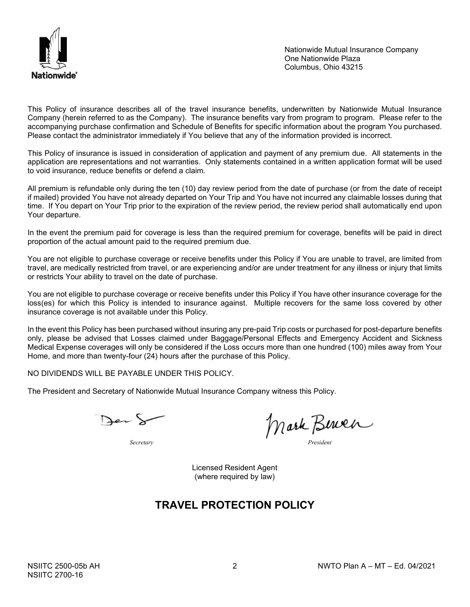

Nationwide Mutual Insurance Company One Nationwide Plaza Columbus, Ohio 43215

This Policy of insurance describes all of the travel insurance benefits, underwritten by Nationwide Mutual Insurance Company (herein referred to as the Company). The insurance benefits vary from program to program. Please refer to the accompanying purchase confirmation and Schedule of Benefits for specific information about the program You purchased. Please contact the administrator immediately if You believe that any of the information provided is incorrect.

This Policy of insurance is issued in consideration of application and payment of any premium due. All statements in the application are representations and not warranties. Only statements contained in a written application format will be used to void insurance, reduce benefits or defend a claim.

All premium is refundable only during the ten (10) day review period from the date of purchase (or from the date of receipt if mailed) provided You have not already departed on Your Trip and You have not incurred any claimable losses during that time. If You depart on Your Trip prior to the expiration of the review period, the review period shall automatically end upon Your departure.

In the event the premium paid for coverage is less than the required premium for coverage, benefits will be paid in direct proportion of the actual amount paid to the required premium due.

You are not eligible to purchase coverage or receive benefits under this Policy if You are unable to travel, are limited from travel, are medically restricted from travel, or are experiencing and/or are under treatment for any illness or injury that limits or restricts Your ability to travel on the date of purchase.

You are not eligible to purchase coverage or receive benefits under this Policy if You have other insurance coverage for the loss(es) for which this Policy is intended to insurance against. Multiple recovers for the same loss covered by other insurance coverage is not available under this Policy.

In the event this Policy has been purchased without insuring any pre-paid Trip costs or purchased for post-departure benefits only, please be advised that Losses claimed under Baggage/Personal Effects and Emergency Accident and Sickness Medical Expense coverages will only be considered if the Loss occurs more than one hundred (100) miles away from Your Home, and more than twenty-four (24) hours after the purchase of this Policy.

NO DIVIDENDS WILL BE PAYABLE UNDER THIS POLICY.

The President and Secretary of Nationwide Mutual Insurance Company witness this Policy.

Der S

*Secretary President*

Licensed Resident Agent (where required by law)

# **TRAVEL PROTECTION POLICY**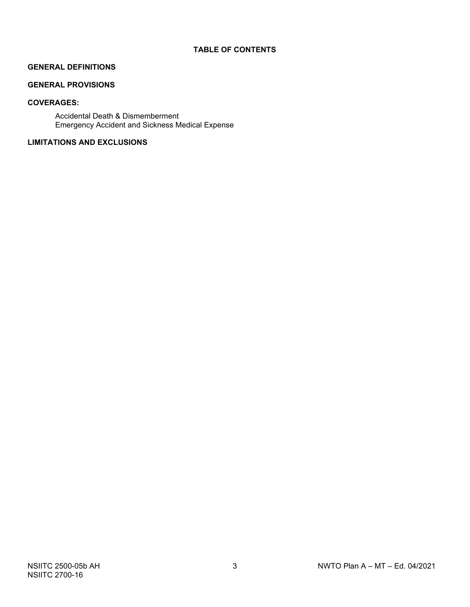# **GENERAL DEFINITIONS**

# **GENERAL PROVISIONS**

# **COVERAGES:**

Accidental Death & Dismemberment Emergency Accident and Sickness Medical Expense

# **LIMITATIONS AND EXCLUSIONS**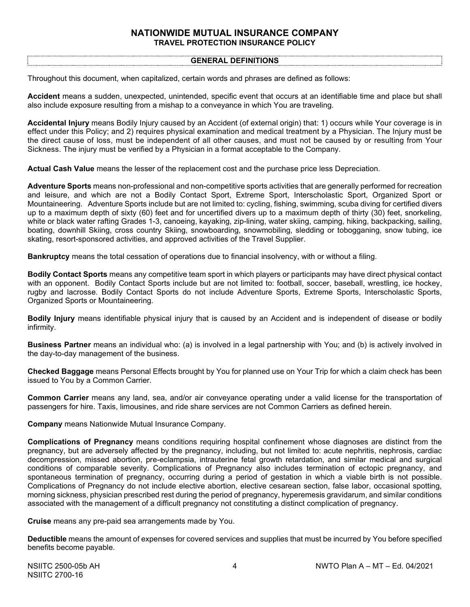# **NATIONWIDE MUTUAL INSURANCE COMPANY TRAVEL PROTECTION INSURANCE POLICY**

#### **GENERAL DEFINITIONS**

Throughout this document, when capitalized, certain words and phrases are defined as follows:

**Accident** means a sudden, unexpected, unintended, specific event that occurs at an identifiable time and place but shall also include exposure resulting from a mishap to a conveyance in which You are traveling.

**Accidental Injury** means Bodily Injury caused by an Accident (of external origin) that: 1) occurs while Your coverage is in effect under this Policy; and 2) requires physical examination and medical treatment by a Physician. The Injury must be the direct cause of loss, must be independent of all other causes, and must not be caused by or resulting from Your Sickness. The injury must be verified by a Physician in a format acceptable to the Company.

**Actual Cash Value** means the lesser of the replacement cost and the purchase price less Depreciation.

**Adventure Sports** means non-professional and non-competitive sports activities that are generally performed for recreation and leisure, and which are not a Bodily Contact Sport, Extreme Sport, Interscholastic Sport, Organized Sport or Mountaineering. Adventure Sports include but are not limited to: cycling, fishing, swimming, scuba diving for certified divers up to a maximum depth of sixty (60) feet and for uncertified divers up to a maximum depth of thirty (30) feet, snorkeling, white or black water rafting Grades 1-3, canoeing, kayaking, zip-lining, water skiing, camping, hiking, backpacking, sailing, boating, downhill Skiing, cross country Skiing, snowboarding, snowmobiling, sledding or tobogganing, snow tubing, ice skating, resort-sponsored activities, and approved activities of the Travel Supplier.

**Bankruptcy** means the total cessation of operations due to financial insolvency, with or without a filing.

**Bodily Contact Sports** means any competitive team sport in which players or participants may have direct physical contact with an opponent. Bodily Contact Sports include but are not limited to: football, soccer, baseball, wrestling, ice hockey, rugby and lacrosse. Bodily Contact Sports do not include Adventure Sports, Extreme Sports, Interscholastic Sports, Organized Sports or Mountaineering.

**Bodily Injury** means identifiable physical injury that is caused by an Accident and is independent of disease or bodily infirmity.

**Business Partner** means an individual who: (a) is involved in a legal partnership with You; and (b) is actively involved in the day-to-day management of the business.

**Checked Baggage** means Personal Effects brought by You for planned use on Your Trip for which a claim check has been issued to You by a Common Carrier.

**Common Carrier** means any land, sea, and/or air conveyance operating under a valid license for the transportation of passengers for hire. Taxis, limousines, and ride share services are not Common Carriers as defined herein.

**Company** means Nationwide Mutual Insurance Company.

**Complications of Pregnancy** means conditions requiring hospital confinement whose diagnoses are distinct from the pregnancy, but are adversely affected by the pregnancy, including, but not limited to: acute nephritis, nephrosis, cardiac decompression, missed abortion, pre-eclampsia, intrauterine fetal growth retardation, and similar medical and surgical conditions of comparable severity. Complications of Pregnancy also includes termination of ectopic pregnancy, and spontaneous termination of pregnancy, occurring during a period of gestation in which a viable birth is not possible. Complications of Pregnancy do not include elective abortion, elective cesarean section, false labor, occasional spotting, morning sickness, physician prescribed rest during the period of pregnancy, hyperemesis gravidarum, and similar conditions associated with the management of a difficult pregnancy not constituting a distinct complication of pregnancy.

**Cruise** means any pre-paid sea arrangements made by You.

**Deductible** means the amount of expenses for covered services and supplies that must be incurred by You before specified benefits become payable.

NSIITC 2700-16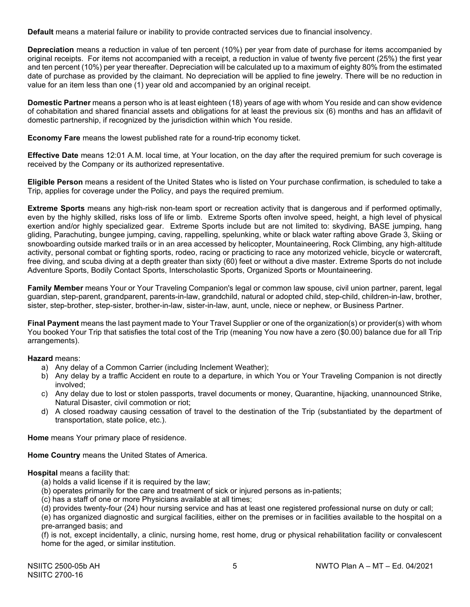**Default** means a material failure or inability to provide contracted services due to financial insolvency.

**Depreciation** means a reduction in value of ten percent (10%) per year from date of purchase for items accompanied by original receipts. For items not accompanied with a receipt, a reduction in value of twenty five percent (25%) the first year and ten percent (10%) per year thereafter. Depreciation will be calculated up to a maximum of eighty 80% from the estimated date of purchase as provided by the claimant. No depreciation will be applied to fine jewelry. There will be no reduction in value for an item less than one (1) year old and accompanied by an original receipt.

**Domestic Partner** means a person who is at least eighteen (18) years of age with whom You reside and can show evidence of cohabitation and shared financial assets and obligations for at least the previous six (6) months and has an affidavit of domestic partnership, if recognized by the jurisdiction within which You reside.

**Economy Fare** means the lowest published rate for a round-trip economy ticket.

**Effective Date** means 12:01 A.M. local time, at Your location, on the day after the required premium for such coverage is received by the Company or its authorized representative.

**Eligible Person** means a resident of the United States who is listed on Your purchase confirmation, is scheduled to take a Trip, applies for coverage under the Policy, and pays the required premium.

**Extreme Sports** means any high-risk non-team sport or recreation activity that is dangerous and if performed optimally, even by the highly skilled, risks loss of life or limb. Extreme Sports often involve speed, height, a high level of physical exertion and/or highly specialized gear. Extreme Sports include but are not limited to: skydiving, BASE jumping, hang gliding, Parachuting, bungee jumping, caving, rappelling, spelunking, white or black water rafting above Grade 3, Skiing or snowboarding outside marked trails or in an area accessed by helicopter, Mountaineering, Rock Climbing, any high‐altitude activity, personal combat or fighting sports, rodeo, racing or practicing to race any motorized vehicle, bicycle or watercraft, free diving, and scuba diving at a depth greater than sixty (60) feet or without a dive master. Extreme Sports do not include Adventure Sports, Bodily Contact Sports, Interscholastic Sports, Organized Sports or Mountaineering.

**Family Member** means Your or Your Traveling Companion's legal or common law spouse, civil union partner, parent, legal guardian, step-parent, grandparent, parents-in-law, grandchild, natural or adopted child, step-child, children-in-law, brother, sister, step-brother, step-sister, brother-in-law, sister-in-law, aunt, uncle, niece or nephew, or Business Partner.

**Final Payment** means the last payment made to Your Travel Supplier or one of the organization(s) or provider(s) with whom You booked Your Trip that satisfies the total cost of the Trip (meaning You now have a zero (\$0.00) balance due for all Trip arrangements).

**Hazard** means:

- a) Any delay of a Common Carrier (including Inclement Weather);
- b) Any delay by a traffic Accident en route to a departure, in which You or Your Traveling Companion is not directly involved;
- c) Any delay due to lost or stolen passports, travel documents or money, Quarantine, hijacking, unannounced Strike, Natural Disaster, civil commotion or riot;
- d) A closed roadway causing cessation of travel to the destination of the Trip (substantiated by the department of transportation, state police, etc.).

**Home** means Your primary place of residence.

**Home Country** means the United States of America.

#### **Hospital** means a facility that:

- (a) holds a valid license if it is required by the law;
- (b) operates primarily for the care and treatment of sick or injured persons as in-patients;
- (c) has a staff of one or more Physicians available at all times;

(d) provides twenty-four (24) hour nursing service and has at least one registered professional nurse on duty or call;

(e) has organized diagnostic and surgical facilities, either on the premises or in facilities available to the hospital on a pre-arranged basis; and

(f) is not, except incidentally, a clinic, nursing home, rest home, drug or physical rehabilitation facility or convalescent home for the aged, or similar institution.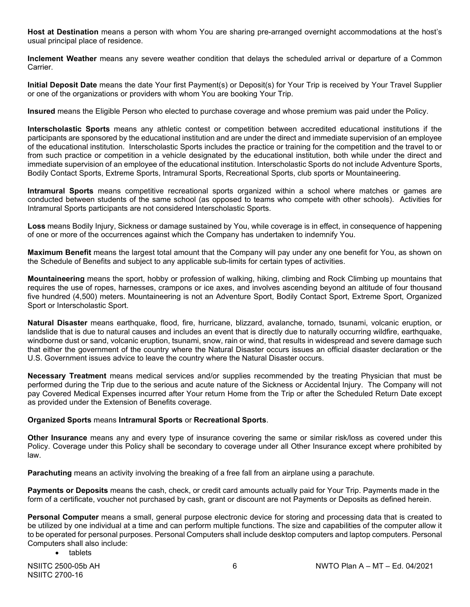**Host at Destination** means a person with whom You are sharing pre-arranged overnight accommodations at the host's usual principal place of residence.

**Inclement Weather** means any severe weather condition that delays the scheduled arrival or departure of a Common Carrier.

**Initial Deposit Date** means the date Your first Payment(s) or Deposit(s) for Your Trip is received by Your Travel Supplier or one of the organizations or providers with whom You are booking Your Trip.

**Insured** means the Eligible Person who elected to purchase coverage and whose premium was paid under the Policy.

**Interscholastic Sports** means any athletic contest or competition between accredited educational institutions if the participants are sponsored by the educational institution and are under the direct and immediate supervision of an employee of the educational institution. Interscholastic Sports includes the practice or training for the competition and the travel to or from such practice or competition in a vehicle designated by the educational institution, both while under the direct and immediate supervision of an employee of the educational institution. Interscholastic Sports do not include Adventure Sports, Bodily Contact Sports, Extreme Sports, Intramural Sports, Recreational Sports, club sports or Mountaineering.

**Intramural Sports** means competitive recreational sports organized within a school where matches or games are conducted between students of the same school (as opposed to teams who compete with other schools). Activities for Intramural Sports participants are not considered Interscholastic Sports.

**Loss** means Bodily Injury, Sickness or damage sustained by You, while coverage is in effect, in consequence of happening of one or more of the occurrences against which the Company has undertaken to indemnify You.

**Maximum Benefit** means the largest total amount that the Company will pay under any one benefit for You, as shown on the Schedule of Benefits and subject to any applicable sub-limits for certain types of activities.

**Mountaineering** means the sport, hobby or profession of walking, hiking, climbing and Rock Climbing up mountains that requires the use of ropes, harnesses, crampons or ice axes, and involves ascending beyond an altitude of four thousand five hundred (4,500) meters. Mountaineering is not an Adventure Sport, Bodily Contact Sport, Extreme Sport, Organized Sport or Interscholastic Sport.

**Natural Disaster** means earthquake, flood, fire, hurricane, blizzard, avalanche, tornado, tsunami, volcanic eruption, or landslide that is due to natural causes and includes an event that is directly due to naturally occurring wildfire, earthquake, windborne dust or sand, volcanic eruption, tsunami, snow, rain or wind, that results in widespread and severe damage such that either the government of the country where the Natural Disaster occurs issues an official disaster declaration or the U.S. Government issues advice to leave the country where the Natural Disaster occurs.

**Necessary Treatment** means medical services and/or supplies recommended by the treating Physician that must be performed during the Trip due to the serious and acute nature of the Sickness or Accidental Injury. The Company will not pay Covered Medical Expenses incurred after Your return Home from the Trip or after the Scheduled Return Date except as provided under the Extension of Benefits coverage.

# **Organized Sports** means **Intramural Sports** or **Recreational Sports**.

**Other Insurance** means any and every type of insurance covering the same or similar risk/loss as covered under this Policy. Coverage under this Policy shall be secondary to coverage under all Other Insurance except where prohibited by law.

**Parachuting** means an activity involving the breaking of a free fall from an airplane using a parachute.

**Payments or Deposits** means the cash, check, or credit card amounts actually paid for Your Trip. Payments made in the form of a certificate, voucher not purchased by cash, grant or discount are not Payments or Deposits as defined herein.

**Personal Computer** means a small, general purpose electronic device for storing and processing data that is created to be utilized by one individual at a time and can perform multiple functions. The size and capabilities of the computer allow it to be operated for personal purposes. Personal Computers shall include desktop computers and laptop computers. Personal Computers shall also include:

• tablets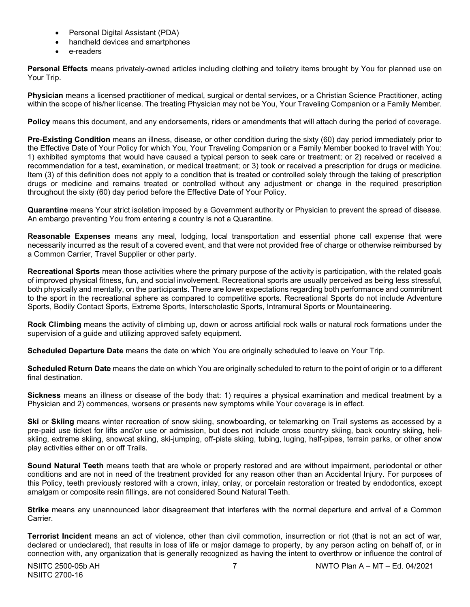- Personal Digital Assistant (PDA)
- handheld devices and smartphones
- e-readers

**Personal Effects** means privately-owned articles including clothing and toiletry items brought by You for planned use on Your Trip.

**Physician** means a licensed practitioner of medical, surgical or dental services, or a Christian Science Practitioner, acting within the scope of his/her license. The treating Physician may not be You, Your Traveling Companion or a Family Member.

**Policy** means this document, and any endorsements, riders or amendments that will attach during the period of coverage.

**Pre-Existing Condition** means an illness, disease, or other condition during the sixty (60) day period immediately prior to the Effective Date of Your Policy for which You, Your Traveling Companion or a Family Member booked to travel with You: 1) exhibited symptoms that would have caused a typical person to seek care or treatment; or 2) received or received a recommendation for a test, examination, or medical treatment; or 3) took or received a prescription for drugs or medicine. Item (3) of this definition does not apply to a condition that is treated or controlled solely through the taking of prescription drugs or medicine and remains treated or controlled without any adjustment or change in the required prescription throughout the sixty (60) day period before the Effective Date of Your Policy.

**Quarantine** means Your strict isolation imposed by a Government authority or Physician to prevent the spread of disease. An embargo preventing You from entering a country is not a Quarantine.

**Reasonable Expenses** means any meal, lodging, local transportation and essential phone call expense that were necessarily incurred as the result of a covered event, and that were not provided free of charge or otherwise reimbursed by a Common Carrier, Travel Supplier or other party.

**Recreational Sports** mean those activities where the primary purpose of the activity is participation, with the related goals of improved physical fitness, fun, and social involvement. Recreational sports are usually perceived as being less stressful, both physically and mentally, on the participants. There are lower expectations regarding both performance and commitment to the sport in the recreational sphere as compared to competitive sports. Recreational Sports do not include Adventure Sports, Bodily Contact Sports, Extreme Sports, Interscholastic Sports, Intramural Sports or Mountaineering.

**Rock Climbing** means the activity of climbing up, down or across artificial rock walls or natural rock formations under the supervision of a guide and utilizing approved safety equipment.

**Scheduled Departure Date** means the date on which You are originally scheduled to leave on Your Trip.

**Scheduled Return Date** means the date on which You are originally scheduled to return to the point of origin or to a different final destination.

**Sickness** means an illness or disease of the body that: 1) requires a physical examination and medical treatment by a Physician and 2) commences, worsens or presents new symptoms while Your coverage is in effect.

**Ski** or **Skiing** means winter recreation of snow skiing, snowboarding, or telemarking on Trail systems as accessed by a pre-paid use ticket for lifts and/or use or admission, but does not include cross country skiing, back country skiing, heliskiing, extreme skiing, snowcat skiing, ski-jumping, off-piste skiing, tubing, luging, half-pipes, terrain parks, or other snow play activities either on or off Trails.

**Sound Natural Teeth** means teeth that are whole or properly restored and are without impairment, periodontal or other conditions and are not in need of the treatment provided for any reason other than an Accidental Injury. For purposes of this Policy, teeth previously restored with a crown, inlay, onlay, or porcelain restoration or treated by endodontics, except amalgam or composite resin fillings, are not considered Sound Natural Teeth.

**Strike** means any unannounced labor disagreement that interferes with the normal departure and arrival of a Common Carrier.

**Terrorist Incident** means an act of violence, other than civil commotion, insurrection or riot (that is not an act of war, declared or undeclared), that results in loss of life or major damage to property, by any person acting on behalf of, or in connection with, any organization that is generally recognized as having the intent to overthrow or influence the control of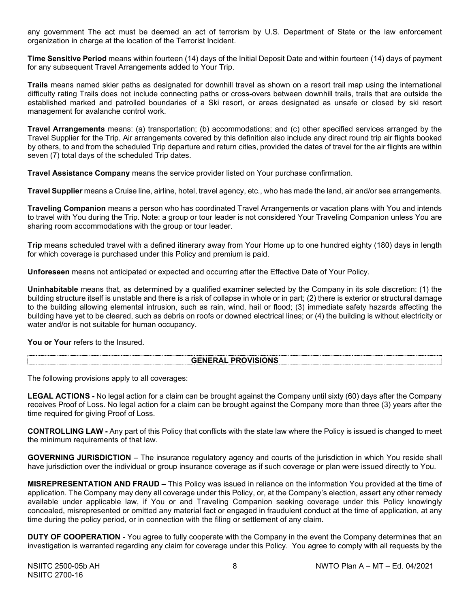any government The act must be deemed an act of terrorism by U.S. Department of State or the law enforcement organization in charge at the location of the Terrorist Incident.

**Time Sensitive Period** means within fourteen (14) days of the Initial Deposit Date and within fourteen (14) days of payment for any subsequent Travel Arrangements added to Your Trip.

**Trails** means named skier paths as designated for downhill travel as shown on a resort trail map using the international difficulty rating Trails does not include connecting paths or cross-overs between downhill trails, trails that are outside the established marked and patrolled boundaries of a Ski resort, or areas designated as unsafe or closed by ski resort management for avalanche control work.

**Travel Arrangements** means: (a) transportation; (b) accommodations; and (c) other specified services arranged by the Travel Supplier for the Trip. Air arrangements covered by this definition also include any direct round trip air flights booked by others, to and from the scheduled Trip departure and return cities, provided the dates of travel for the air flights are within seven (7) total days of the scheduled Trip dates.

**Travel Assistance Company** means the service provider listed on Your purchase confirmation.

**Travel Supplier** means a Cruise line, airline, hotel, travel agency, etc., who has made the land, air and/or sea arrangements.

**Traveling Companion** means a person who has coordinated Travel Arrangements or vacation plans with You and intends to travel with You during the Trip. Note: a group or tour leader is not considered Your Traveling Companion unless You are sharing room accommodations with the group or tour leader.

**Trip** means scheduled travel with a defined itinerary away from Your Home up to one hundred eighty (180) days in length for which coverage is purchased under this Policy and premium is paid.

**Unforeseen** means not anticipated or expected and occurring after the Effective Date of Your Policy.

**Uninhabitable** means that, as determined by a qualified examiner selected by the Company in its sole discretion: (1) the building structure itself is unstable and there is a risk of collapse in whole or in part; (2) there is exterior or structural damage to the building allowing elemental intrusion, such as rain, wind, hail or flood; (3) immediate safety hazards affecting the building have yet to be cleared, such as debris on roofs or downed electrical lines; or (4) the building is without electricity or water and/or is not suitable for human occupancy.

You or Your refers to the Insured.

# **GENERAL PROVISIONS**

The following provisions apply to all coverages:

**LEGAL ACTIONS -** No legal action for a claim can be brought against the Company until sixty (60) days after the Company receives Proof of Loss. No legal action for a claim can be brought against the Company more than three (3) years after the time required for giving Proof of Loss.

**CONTROLLING LAW -** Any part of this Policy that conflicts with the state law where the Policy is issued is changed to meet the minimum requirements of that law.

**GOVERNING JURISDICTION** – The insurance regulatory agency and courts of the jurisdiction in which You reside shall have jurisdiction over the individual or group insurance coverage as if such coverage or plan were issued directly to You.

**MISREPRESENTATION AND FRAUD –** This Policy was issued in reliance on the information You provided at the time of application. The Company may deny all coverage under this Policy, or, at the Company's election, assert any other remedy available under applicable law, if You or and Traveling Companion seeking coverage under this Policy knowingly concealed, misrepresented or omitted any material fact or engaged in fraudulent conduct at the time of application, at any time during the policy period, or in connection with the filing or settlement of any claim.

**DUTY OF COOPERATION** - You agree to fully cooperate with the Company in the event the Company determines that an investigation is warranted regarding any claim for coverage under this Policy. You agree to comply with all requests by the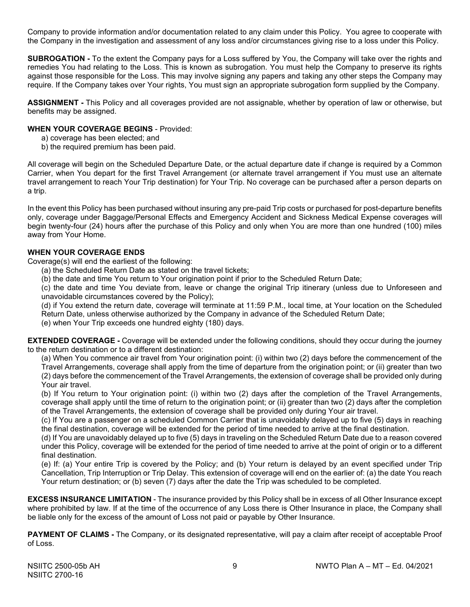Company to provide information and/or documentation related to any claim under this Policy. You agree to cooperate with the Company in the investigation and assessment of any loss and/or circumstances giving rise to a loss under this Policy.

**SUBROGATION -** To the extent the Company pays for a Loss suffered by You, the Company will take over the rights and remedies You had relating to the Loss. This is known as subrogation. You must help the Company to preserve its rights against those responsible for the Loss. This may involve signing any papers and taking any other steps the Company may require. If the Company takes over Your rights, You must sign an appropriate subrogation form supplied by the Company.

**ASSIGNMENT -** This Policy and all coverages provided are not assignable, whether by operation of law or otherwise, but benefits may be assigned.

# **WHEN YOUR COVERAGE BEGINS** - Provided:

- a) coverage has been elected; and
- b) the required premium has been paid.

All coverage will begin on the Scheduled Departure Date, or the actual departure date if change is required by a Common Carrier, when You depart for the first Travel Arrangement (or alternate travel arrangement if You must use an alternate travel arrangement to reach Your Trip destination) for Your Trip. No coverage can be purchased after a person departs on a trip.

In the event this Policy has been purchased without insuring any pre-paid Trip costs or purchased for post-departure benefits only, coverage under Baggage/Personal Effects and Emergency Accident and Sickness Medical Expense coverages will begin twenty-four (24) hours after the purchase of this Policy and only when You are more than one hundred (100) miles away from Your Home.

# **WHEN YOUR COVERAGE ENDS**

Coverage(s) will end the earliest of the following:

- (a) the Scheduled Return Date as stated on the travel tickets;
- (b) the date and time You return to Your origination point if prior to the Scheduled Return Date;

(c) the date and time You deviate from, leave or change the original Trip itinerary (unless due to Unforeseen and unavoidable circumstances covered by the Policy);

(d) if You extend the return date, coverage will terminate at 11:59 P.M., local time, at Your location on the Scheduled Return Date, unless otherwise authorized by the Company in advance of the Scheduled Return Date;

(e) when Your Trip exceeds one hundred eighty (180) days.

**EXTENDED COVERAGE -** Coverage will be extended under the following conditions, should they occur during the journey to the return destination or to a different destination:

(a) When You commence air travel from Your origination point: (i) within two (2) days before the commencement of the Travel Arrangements, coverage shall apply from the time of departure from the origination point; or (ii) greater than two (2) days before the commencement of the Travel Arrangements, the extension of coverage shall be provided only during Your air travel.

(b) If You return to Your origination point: (i) within two (2) days after the completion of the Travel Arrangements, coverage shall apply until the time of return to the origination point; or (ii) greater than two (2) days after the completion of the Travel Arrangements, the extension of coverage shall be provided only during Your air travel.

(c) If You are a passenger on a scheduled Common Carrier that is unavoidably delayed up to five (5) days in reaching the final destination, coverage will be extended for the period of time needed to arrive at the final destination.

(d) If You are unavoidably delayed up to five (5) days in traveling on the Scheduled Return Date due to a reason covered under this Policy, coverage will be extended for the period of time needed to arrive at the point of origin or to a different final destination.

(e) If: (a) Your entire Trip is covered by the Policy; and (b) Your return is delayed by an event specified under Trip Cancellation, Trip Interruption or Trip Delay. This extension of coverage will end on the earlier of: (a) the date You reach Your return destination; or (b) seven (7) days after the date the Trip was scheduled to be completed.

**EXCESS INSURANCE LIMITATION** - The insurance provided by this Policy shall be in excess of all Other Insurance except where prohibited by law. If at the time of the occurrence of any Loss there is Other Insurance in place, the Company shall be liable only for the excess of the amount of Loss not paid or payable by Other Insurance.

**PAYMENT OF CLAIMS -** The Company, or its designated representative, will pay a claim after receipt of acceptable Proof of Loss.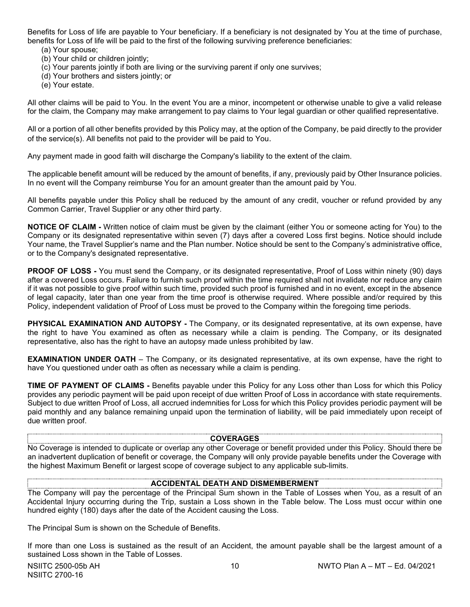Benefits for Loss of life are payable to Your beneficiary. If a beneficiary is not designated by You at the time of purchase, benefits for Loss of life will be paid to the first of the following surviving preference beneficiaries:

- (a) Your spouse;
- (b) Your child or children jointly;
- (c) Your parents jointly if both are living or the surviving parent if only one survives;
- (d) Your brothers and sisters jointly; or
- (e) Your estate.

All other claims will be paid to You. In the event You are a minor, incompetent or otherwise unable to give a valid release for the claim, the Company may make arrangement to pay claims to Your legal guardian or other qualified representative.

All or a portion of all other benefits provided by this Policy may, at the option of the Company, be paid directly to the provider of the service(s). All benefits not paid to the provider will be paid to You.

Any payment made in good faith will discharge the Company's liability to the extent of the claim.

The applicable benefit amount will be reduced by the amount of benefits, if any, previously paid by Other Insurance policies. In no event will the Company reimburse You for an amount greater than the amount paid by You.

All benefits payable under this Policy shall be reduced by the amount of any credit, voucher or refund provided by any Common Carrier, Travel Supplier or any other third party.

**NOTICE OF CLAIM -** Written notice of claim must be given by the claimant (either You or someone acting for You) to the Company or its designated representative within seven (7) days after a covered Loss first begins. Notice should include Your name, the Travel Supplier's name and the Plan number. Notice should be sent to the Company's administrative office, or to the Company's designated representative.

**PROOF OF LOSS -** You must send the Company, or its designated representative, Proof of Loss within ninety (90) days after a covered Loss occurs. Failure to furnish such proof within the time required shall not invalidate nor reduce any claim if it was not possible to give proof within such time, provided such proof is furnished and in no event, except in the absence of legal capacity, later than one year from the time proof is otherwise required. Where possible and/or required by this Policy, independent validation of Proof of Loss must be proved to the Company within the foregoing time periods.

**PHYSICAL EXAMINATION AND AUTOPSY -** The Company, or its designated representative, at its own expense, have the right to have You examined as often as necessary while a claim is pending. The Company, or its designated representative, also has the right to have an autopsy made unless prohibited by law.

**EXAMINATION UNDER OATH** – The Company, or its designated representative, at its own expense, have the right to have You questioned under oath as often as necessary while a claim is pending.

**TIME OF PAYMENT OF CLAIMS -** Benefits payable under this Policy for any Loss other than Loss for which this Policy provides any periodic payment will be paid upon receipt of due written Proof of Loss in accordance with state requirements. Subject to due written Proof of Loss, all accrued indemnities for Loss for which this Policy provides periodic payment will be paid monthly and any balance remaining unpaid upon the termination of liability, will be paid immediately upon receipt of due written proof.

#### **COVERAGES**

No Coverage is intended to duplicate or overlap any other Coverage or benefit provided under this Policy. Should there be an inadvertent duplication of benefit or coverage, the Company will only provide payable benefits under the Coverage with the highest Maximum Benefit or largest scope of coverage subject to any applicable sub-limits.

# **ACCIDENTAL DEATH AND DISMEMBERMENT**

The Company will pay the percentage of the Principal Sum shown in the Table of Losses when You, as a result of an Accidental Injury occurring during the Trip, sustain a Loss shown in the Table below. The Loss must occur within one hundred eighty (180) days after the date of the Accident causing the Loss.

The Principal Sum is shown on the Schedule of Benefits.

If more than one Loss is sustained as the result of an Accident, the amount payable shall be the largest amount of a sustained Loss shown in the Table of Losses.

NSIITC 2700-16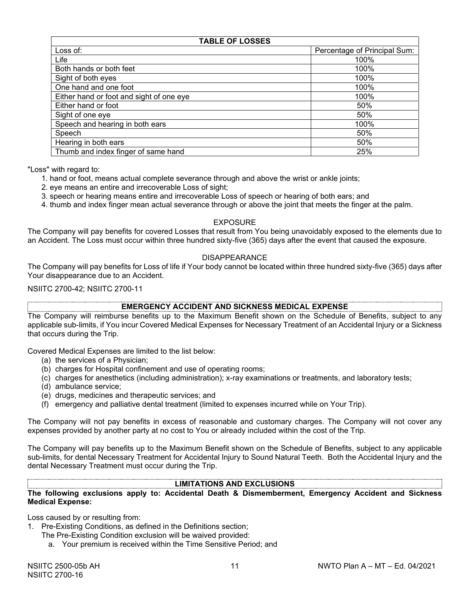| <b>TABLE OF LOSSES</b>                   |                              |  |  |
|------------------------------------------|------------------------------|--|--|
| Loss of:                                 | Percentage of Principal Sum: |  |  |
| Life                                     | 100%                         |  |  |
| Both hands or both feet                  | 100%                         |  |  |
| Sight of both eyes                       | 100%                         |  |  |
| One hand and one foot                    | 100%                         |  |  |
| Either hand or foot and sight of one eye | 100%                         |  |  |
| Either hand or foot                      | 50%                          |  |  |
| Sight of one eye                         | 50%                          |  |  |
| Speech and hearing in both ears          | 100%                         |  |  |
| Speech                                   | 50%                          |  |  |
| Hearing in both ears                     | 50%                          |  |  |
| Thumb and index finger of same hand      | 25%                          |  |  |

"Loss" with regard to:

- 1. hand or foot, means actual complete severance through and above the wrist or ankle joints;
- 2. eye means an entire and irrecoverable Loss of sight;
- 3. speech or hearing means entire and irrecoverable Loss of speech or hearing of both ears; and
- 4. thumb and index finger mean actual severance through or above the joint that meets the finger at the palm.

#### EXPOSURE

The Company will pay benefits for covered Losses that result from You being unavoidably exposed to the elements due to an Accident. The Loss must occur within three hundred sixty-five (365) days after the event that caused the exposure.

#### DISAPPEARANCE

The Company will pay benefits for Loss of life if Your body cannot be located within three hundred sixty-five (365) days after Your disappearance due to an Accident.

NSIITC 2700-42; NSIITC 2700-11

# **EMERGENCY ACCIDENT AND SICKNESS MEDICAL EXPENSE**

The Company will reimburse benefits up to the Maximum Benefit shown on the Schedule of Benefits, subject to any applicable sub-limits, if You incur Covered Medical Expenses for Necessary Treatment of an Accidental Injury or a Sickness that occurs during the Trip.

Covered Medical Expenses are limited to the list below:

- (a) the services of a Physician;
- (b) charges for Hospital confinement and use of operating rooms;
- (c) charges for anesthetics (including administration); x-ray examinations or treatments, and laboratory tests;
- (d) ambulance service;
- (e) drugs, medicines and therapeutic services; and
- (f) emergency and palliative dental treatment (limited to expenses incurred while on Your Trip).

The Company will not pay benefits in excess of reasonable and customary charges. The Company will not cover any expenses provided by another party at no cost to You or already included within the cost of the Trip.

The Company will pay benefits up to the Maximum Benefit shown on the Schedule of Benefits, subject to any applicable sub-limits, for dental Necessary Treatment for Accidental Injury to Sound Natural Teeth. Both the Accidental Injury and the dental Necessary Treatment must occur during the Trip.

# **LIMITATIONS AND EXCLUSIONS**

**The following exclusions apply to: Accidental Death & Dismemberment, Emergency Accident and Sickness Medical Expense:**

Loss caused by or resulting from:

- 1. Pre-Existing Conditions, as defined in the Definitions section;
	- The Pre-Existing Condition exclusion will be waived provided:
		- a. Your premium is received within the Time Sensitive Period; and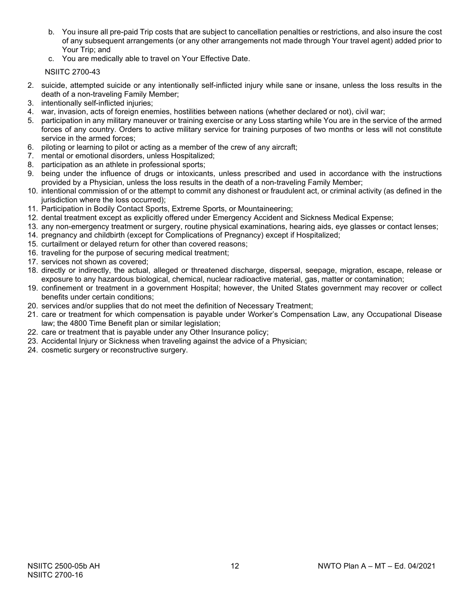- b. You insure all pre-paid Trip costs that are subject to cancellation penalties or restrictions, and also insure the cost of any subsequent arrangements (or any other arrangements not made through Your travel agent) added prior to Your Trip; and
- c. You are medically able to travel on Your Effective Date.

NSIITC 2700-43

- 2. suicide, attempted suicide or any intentionally self-inflicted injury while sane or insane, unless the loss results in the death of a non-traveling Family Member;
- 3. intentionally self-inflicted injuries;
- 4. war, invasion, acts of foreign enemies, hostilities between nations (whether declared or not), civil war;
- 5. participation in any military maneuver or training exercise or any Loss starting while You are in the service of the armed forces of any country. Orders to active military service for training purposes of two months or less will not constitute service in the armed forces;
- 6. piloting or learning to pilot or acting as a member of the crew of any aircraft;
- 7. mental or emotional disorders, unless Hospitalized;
- 8. participation as an athlete in professional sports;
- 9. being under the influence of drugs or intoxicants, unless prescribed and used in accordance with the instructions provided by a Physician, unless the loss results in the death of a non-traveling Family Member;
- 10. intentional commission of or the attempt to commit any dishonest or fraudulent act, or criminal activity (as defined in the jurisdiction where the loss occurred);
- 11. Participation in Bodily Contact Sports, Extreme Sports, or Mountaineering;
- 12. dental treatment except as explicitly offered under Emergency Accident and Sickness Medical Expense;
- 13. any non-emergency treatment or surgery, routine physical examinations, hearing aids, eye glasses or contact lenses;
- 14. pregnancy and childbirth (except for Complications of Pregnancy) except if Hospitalized;
- 15. curtailment or delayed return for other than covered reasons;
- 16. traveling for the purpose of securing medical treatment;
- 17. services not shown as covered;
- 18. directly or indirectly, the actual, alleged or threatened discharge, dispersal, seepage, migration, escape, release or exposure to any hazardous biological, chemical, nuclear radioactive material, gas, matter or contamination;
- 19. confinement or treatment in a government Hospital; however, the United States government may recover or collect benefits under certain conditions;
- 20. services and/or supplies that do not meet the definition of Necessary Treatment;
- 21. care or treatment for which compensation is payable under Worker's Compensation Law, any Occupational Disease law; the 4800 Time Benefit plan or similar legislation;
- 22. care or treatment that is payable under any Other Insurance policy;
- 23. Accidental Injury or Sickness when traveling against the advice of a Physician;
- 24. cosmetic surgery or reconstructive surgery.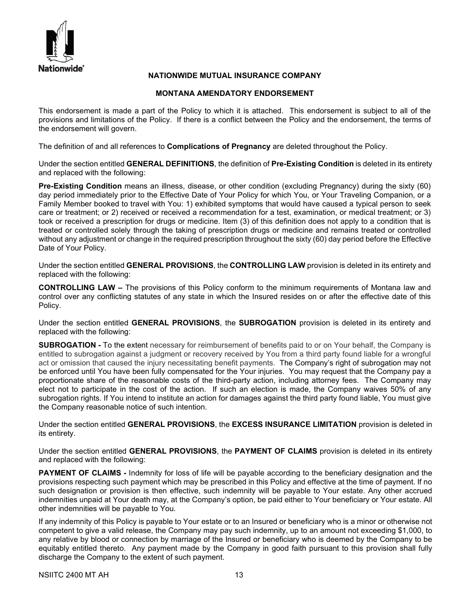

# **NATIONWIDE MUTUAL INSURANCE COMPANY**

# **MONTANA AMENDATORY ENDORSEMENT**

This endorsement is made a part of the Policy to which it is attached. This endorsement is subject to all of the provisions and limitations of the Policy. If there is a conflict between the Policy and the endorsement, the terms of the endorsement will govern.

The definition of and all references to **Complications of Pregnancy** are deleted throughout the Policy.

Under the section entitled **GENERAL DEFINITIONS**, the definition of **Pre-Existing Condition** is deleted in its entirety and replaced with the following:

**Pre-Existing Condition** means an illness, disease, or other condition (excluding Pregnancy) during the sixty (60) day period immediately prior to the Effective Date of Your Policy for which You, or Your Traveling Companion, or a Family Member booked to travel with You: 1) exhibited symptoms that would have caused a typical person to seek care or treatment; or 2) received or received a recommendation for a test, examination, or medical treatment; or 3) took or received a prescription for drugs or medicine. Item (3) of this definition does not apply to a condition that is treated or controlled solely through the taking of prescription drugs or medicine and remains treated or controlled without any adjustment or change in the required prescription throughout the sixty (60) day period before the Effective Date of Your Policy.

Under the section entitled **GENERAL PROVISIONS**, the **CONTROLLING LAW** provision is deleted in its entirety and replaced with the following:

**CONTROLLING LAW –** The provisions of this Policy conform to the minimum requirements of Montana law and control over any conflicting statutes of any state in which the Insured resides on or after the effective date of this Policy.

Under the section entitled **GENERAL PROVISIONS**, the **SUBROGATION** provision is deleted in its entirety and replaced with the following:

**SUBROGATION -** To the extent necessary for reimbursement of benefits paid to or on Your behalf, the Company is entitled to subrogation against a judgment or recovery received by You from a third party found liable for a wrongful act or omission that caused the injury necessitating benefit payments. The Company's right of subrogation may not be enforced until You have been fully compensated for the Your injuries. You may request that the Company pay a proportionate share of the reasonable costs of the third-party action, including attorney fees. The Company may elect not to participate in the cost of the action. If such an election is made, the Company waives 50% of any subrogation rights. If You intend to institute an action for damages against the third party found liable, You must give the Company reasonable notice of such intention.

Under the section entitled **GENERAL PROVISIONS**, the **EXCESS INSURANCE LIMITATION** provision is deleted in its entirety.

Under the section entitled **GENERAL PROVISIONS**, the **PAYMENT OF CLAIMS** provision is deleted in its entirety and replaced with the following:

**PAYMENT OF CLAIMS** - Indemnity for loss of life will be payable according to the beneficiary designation and the provisions respecting such payment which may be prescribed in this Policy and effective at the time of payment. If no such designation or provision is then effective, such indemnity will be payable to Your estate. Any other accrued indemnities unpaid at Your death may, at the Company's option, be paid either to Your beneficiary or Your estate. All other indemnities will be payable to You.

If any indemnity of this Policy is payable to Your estate or to an Insured or beneficiary who is a minor or otherwise not competent to give a valid release, the Company may pay such indemnity, up to an amount not exceeding \$1,000, to any relative by blood or connection by marriage of the Insured or beneficiary who is deemed by the Company to be equitably entitled thereto. Any payment made by the Company in good faith pursuant to this provision shall fully discharge the Company to the extent of such payment.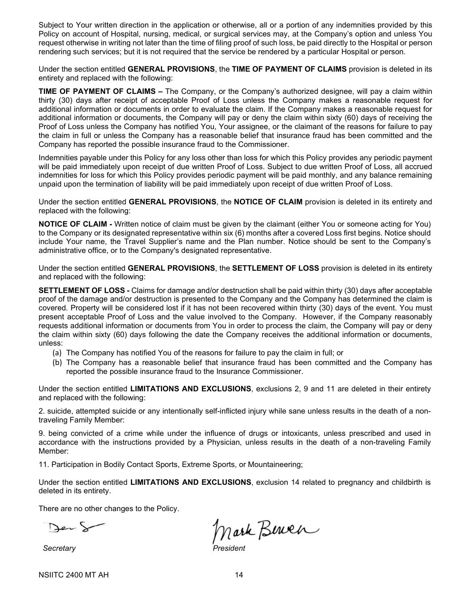Subject to Your written direction in the application or otherwise, all or a portion of any indemnities provided by this Policy on account of Hospital, nursing, medical, or surgical services may, at the Company's option and unless You request otherwise in writing not later than the time of filing proof of such loss, be paid directly to the Hospital or person rendering such services; but it is not required that the service be rendered by a particular Hospital or person.

Under the section entitled **GENERAL PROVISIONS**, the **TIME OF PAYMENT OF CLAIMS** provision is deleted in its entirety and replaced with the following:

**TIME OF PAYMENT OF CLAIMS –** The Company, or the Company's authorized designee, will pay a claim within thirty (30) days after receipt of acceptable Proof of Loss unless the Company makes a reasonable request for additional information or documents in order to evaluate the claim. If the Company makes a reasonable request for additional information or documents, the Company will pay or deny the claim within sixty (60) days of receiving the Proof of Loss unless the Company has notified You, Your assignee, or the claimant of the reasons for failure to pay the claim in full or unless the Company has a reasonable belief that insurance fraud has been committed and the Company has reported the possible insurance fraud to the Commissioner.

Indemnities payable under this Policy for any loss other than loss for which this Policy provides any periodic payment will be paid immediately upon receipt of due written Proof of Loss. Subject to due written Proof of Loss, all accrued indemnities for loss for which this Policy provides periodic payment will be paid monthly, and any balance remaining unpaid upon the termination of liability will be paid immediately upon receipt of due written Proof of Loss.

Under the section entitled **GENERAL PROVISIONS**, the **NOTICE OF CLAIM** provision is deleted in its entirety and replaced with the following:

**NOTICE OF CLAIM -** Written notice of claim must be given by the claimant (either You or someone acting for You) to the Company or its designated representative within six (6) months after a covered Loss first begins. Notice should include Your name, the Travel Supplier's name and the Plan number. Notice should be sent to the Company's administrative office, or to the Company's designated representative.

Under the section entitled **GENERAL PROVISIONS**, the **SETTLEMENT OF LOSS** provision is deleted in its entirety and replaced with the following:

**SETTLEMENT OF LOSS -** Claims for damage and/or destruction shall be paid within thirty (30) days after acceptable proof of the damage and/or destruction is presented to the Company and the Company has determined the claim is covered. Property will be considered lost if it has not been recovered within thirty (30) days of the event. You must present acceptable Proof of Loss and the value involved to the Company. However, if the Company reasonably requests additional information or documents from You in order to process the claim, the Company will pay or deny the claim within sixty (60) days following the date the Company receives the additional information or documents, unless:

- (a) The Company has notified You of the reasons for failure to pay the claim in full; or
- (b) The Company has a reasonable belief that insurance fraud has been committed and the Company has reported the possible insurance fraud to the Insurance Commissioner.

Under the section entitled **LIMITATIONS AND EXCLUSIONS**, exclusions 2, 9 and 11 are deleted in their entirety and replaced with the following:

2. suicide, attempted suicide or any intentionally self-inflicted injury while sane unless results in the death of a nontraveling Family Member:

9. being convicted of a crime while under the influence of drugs or intoxicants, unless prescribed and used in accordance with the instructions provided by a Physician, unless results in the death of a non-traveling Family Member:

11. Participation in Bodily Contact Sports, Extreme Sports, or Mountaineering;

Under the section entitled **LIMITATIONS AND EXCLUSIONS**, exclusion 14 related to pregnancy and childbirth is deleted in its entirety.

There are no other changes to the Policy.

Der S

Mark Bernen

 $S$ *ecretary*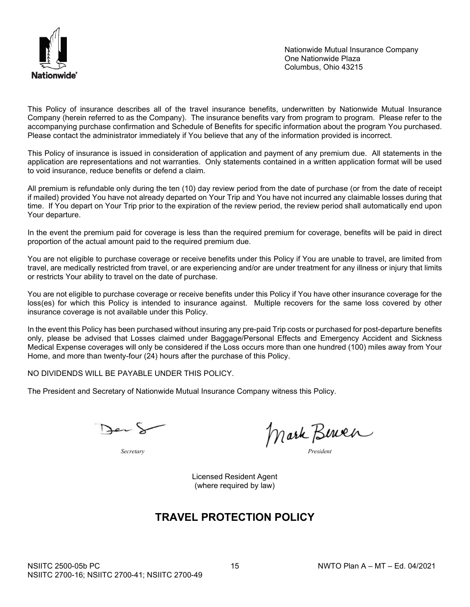

Nationwide Mutual Insurance Company One Nationwide Plaza Columbus, Ohio 43215

This Policy of insurance describes all of the travel insurance benefits, underwritten by Nationwide Mutual Insurance Company (herein referred to as the Company). The insurance benefits vary from program to program. Please refer to the accompanying purchase confirmation and Schedule of Benefits for specific information about the program You purchased. Please contact the administrator immediately if You believe that any of the information provided is incorrect.

This Policy of insurance is issued in consideration of application and payment of any premium due. All statements in the application are representations and not warranties. Only statements contained in a written application format will be used to void insurance, reduce benefits or defend a claim.

All premium is refundable only during the ten (10) day review period from the date of purchase (or from the date of receipt if mailed) provided You have not already departed on Your Trip and You have not incurred any claimable losses during that time. If You depart on Your Trip prior to the expiration of the review period, the review period shall automatically end upon Your departure.

In the event the premium paid for coverage is less than the required premium for coverage, benefits will be paid in direct proportion of the actual amount paid to the required premium due.

You are not eligible to purchase coverage or receive benefits under this Policy if You are unable to travel, are limited from travel, are medically restricted from travel, or are experiencing and/or are under treatment for any illness or injury that limits or restricts Your ability to travel on the date of purchase.

You are not eligible to purchase coverage or receive benefits under this Policy if You have other insurance coverage for the loss(es) for which this Policy is intended to insurance against. Multiple recovers for the same loss covered by other insurance coverage is not available under this Policy.

In the event this Policy has been purchased without insuring any pre-paid Trip costs or purchased for post-departure benefits only, please be advised that Losses claimed under Baggage/Personal Effects and Emergency Accident and Sickness Medical Expense coverages will only be considered if the Loss occurs more than one hundred (100) miles away from Your Home, and more than twenty-four (24) hours after the purchase of this Policy.

NO DIVIDENDS WILL BE PAYABLE UNDER THIS POLICY.

The President and Secretary of Nationwide Mutual Insurance Company witness this Policy.

Der S

*Secretary President*

Mark Berner

Licensed Resident Agent (where required by law)

# **TRAVEL PROTECTION POLICY**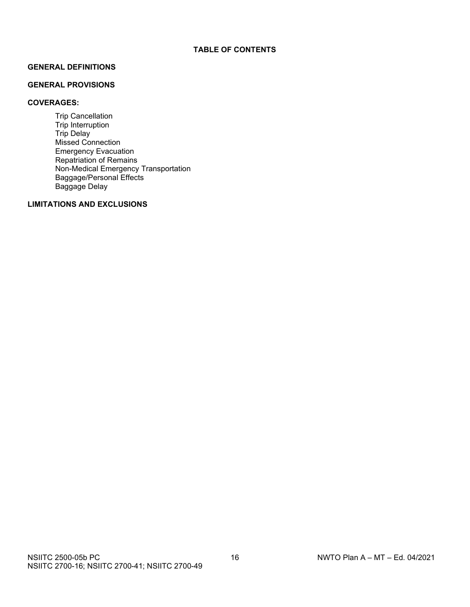# **GENERAL DEFINITIONS**

#### **GENERAL PROVISIONS**

# **COVERAGES:**

Trip Cancellation Trip Interruption Trip Delay Missed Connection Emergency Evacuation Repatriation of Remains Non-Medical Emergency Transportation Baggage/Personal Effects Baggage Delay

# **LIMITATIONS AND EXCLUSIONS**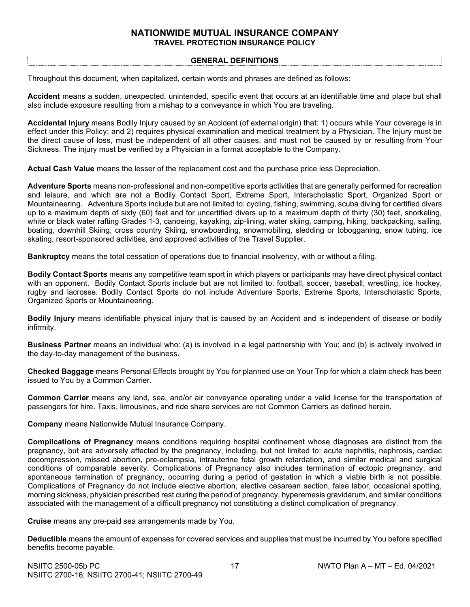# **NATIONWIDE MUTUAL INSURANCE COMPANY TRAVEL PROTECTION INSURANCE POLICY**

#### **GENERAL DEFINITIONS**

Throughout this document, when capitalized, certain words and phrases are defined as follows:

**Accident** means a sudden, unexpected, unintended, specific event that occurs at an identifiable time and place but shall also include exposure resulting from a mishap to a conveyance in which You are traveling.

**Accidental Injury** means Bodily Injury caused by an Accident (of external origin) that: 1) occurs while Your coverage is in effect under this Policy; and 2) requires physical examination and medical treatment by a Physician. The Injury must be the direct cause of loss, must be independent of all other causes, and must not be caused by or resulting from Your Sickness. The injury must be verified by a Physician in a format acceptable to the Company.

**Actual Cash Value** means the lesser of the replacement cost and the purchase price less Depreciation.

**Adventure Sports** means non-professional and non-competitive sports activities that are generally performed for recreation and leisure, and which are not a Bodily Contact Sport, Extreme Sport, Interscholastic Sport, Organized Sport or Mountaineering. Adventure Sports include but are not limited to: cycling, fishing, swimming, scuba diving for certified divers up to a maximum depth of sixty (60) feet and for uncertified divers up to a maximum depth of thirty (30) feet, snorkeling, white or black water rafting Grades 1-3, canoeing, kayaking, zip-lining, water skiing, camping, hiking, backpacking, sailing, boating, downhill Skiing, cross country Skiing, snowboarding, snowmobiling, sledding or tobogganing, snow tubing, ice skating, resort-sponsored activities, and approved activities of the Travel Supplier.

**Bankruptcy** means the total cessation of operations due to financial insolvency, with or without a filing.

**Bodily Contact Sports** means any competitive team sport in which players or participants may have direct physical contact with an opponent. Bodily Contact Sports include but are not limited to: football, soccer, baseball, wrestling, ice hockey, rugby and lacrosse. Bodily Contact Sports do not include Adventure Sports, Extreme Sports, Interscholastic Sports, Organized Sports or Mountaineering.

**Bodily Injury** means identifiable physical injury that is caused by an Accident and is independent of disease or bodily infirmity.

**Business Partner** means an individual who: (a) is involved in a legal partnership with You; and (b) is actively involved in the day-to-day management of the business.

**Checked Baggage** means Personal Effects brought by You for planned use on Your Trip for which a claim check has been issued to You by a Common Carrier.

**Common Carrier** means any land, sea, and/or air conveyance operating under a valid license for the transportation of passengers for hire. Taxis, limousines, and ride share services are not Common Carriers as defined herein.

**Company** means Nationwide Mutual Insurance Company.

**Complications of Pregnancy** means conditions requiring hospital confinement whose diagnoses are distinct from the pregnancy, but are adversely affected by the pregnancy, including, but not limited to: acute nephritis, nephrosis, cardiac decompression, missed abortion, pre-eclampsia, intrauterine fetal growth retardation, and similar medical and surgical conditions of comparable severity. Complications of Pregnancy also includes termination of ectopic pregnancy, and spontaneous termination of pregnancy, occurring during a period of gestation in which a viable birth is not possible. Complications of Pregnancy do not include elective abortion, elective cesarean section, false labor, occasional spotting, morning sickness, physician prescribed rest during the period of pregnancy, hyperemesis gravidarum, and similar conditions associated with the management of a difficult pregnancy not constituting a distinct complication of pregnancy.

**Cruise** means any pre-paid sea arrangements made by You.

**Deductible** means the amount of expenses for covered services and supplies that must be incurred by You before specified benefits become payable.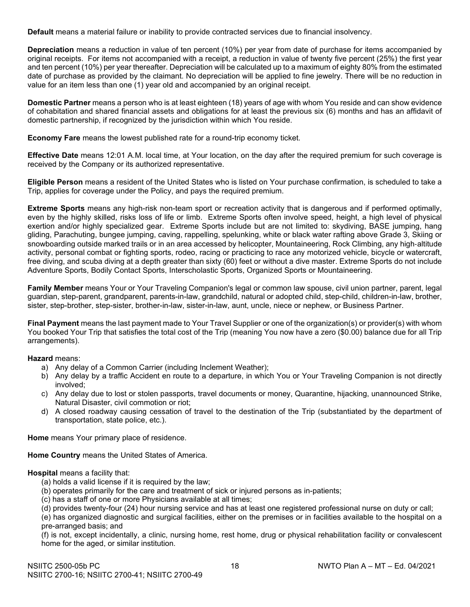**Default** means a material failure or inability to provide contracted services due to financial insolvency.

**Depreciation** means a reduction in value of ten percent (10%) per year from date of purchase for items accompanied by original receipts. For items not accompanied with a receipt, a reduction in value of twenty five percent (25%) the first year and ten percent (10%) per year thereafter. Depreciation will be calculated up to a maximum of eighty 80% from the estimated date of purchase as provided by the claimant. No depreciation will be applied to fine jewelry. There will be no reduction in value for an item less than one (1) year old and accompanied by an original receipt.

**Domestic Partner** means a person who is at least eighteen (18) years of age with whom You reside and can show evidence of cohabitation and shared financial assets and obligations for at least the previous six (6) months and has an affidavit of domestic partnership, if recognized by the jurisdiction within which You reside.

**Economy Fare** means the lowest published rate for a round-trip economy ticket.

**Effective Date** means 12:01 A.M. local time, at Your location, on the day after the required premium for such coverage is received by the Company or its authorized representative.

**Eligible Person** means a resident of the United States who is listed on Your purchase confirmation, is scheduled to take a Trip, applies for coverage under the Policy, and pays the required premium.

**Extreme Sports** means any high-risk non-team sport or recreation activity that is dangerous and if performed optimally, even by the highly skilled, risks loss of life or limb. Extreme Sports often involve speed, height, a high level of physical exertion and/or highly specialized gear. Extreme Sports include but are not limited to: skydiving, BASE jumping, hang gliding, Parachuting, bungee jumping, caving, rappelling, spelunking, white or black water rafting above Grade 3, Skiing or snowboarding outside marked trails or in an area accessed by helicopter, Mountaineering, Rock Climbing, any high‐altitude activity, personal combat or fighting sports, rodeo, racing or practicing to race any motorized vehicle, bicycle or watercraft, free diving, and scuba diving at a depth greater than sixty (60) feet or without a dive master. Extreme Sports do not include Adventure Sports, Bodily Contact Sports, Interscholastic Sports, Organized Sports or Mountaineering.

**Family Member** means Your or Your Traveling Companion's legal or common law spouse, civil union partner, parent, legal guardian, step-parent, grandparent, parents-in-law, grandchild, natural or adopted child, step-child, children-in-law, brother, sister, step-brother, step-sister, brother-in-law, sister-in-law, aunt, uncle, niece or nephew, or Business Partner.

**Final Payment** means the last payment made to Your Travel Supplier or one of the organization(s) or provider(s) with whom You booked Your Trip that satisfies the total cost of the Trip (meaning You now have a zero (\$0.00) balance due for all Trip arrangements).

**Hazard** means:

- a) Any delay of a Common Carrier (including Inclement Weather);
- b) Any delay by a traffic Accident en route to a departure, in which You or Your Traveling Companion is not directly involved;
- c) Any delay due to lost or stolen passports, travel documents or money, Quarantine, hijacking, unannounced Strike, Natural Disaster, civil commotion or riot;
- d) A closed roadway causing cessation of travel to the destination of the Trip (substantiated by the department of transportation, state police, etc.).

**Home** means Your primary place of residence.

**Home Country** means the United States of America.

#### **Hospital** means a facility that:

- (a) holds a valid license if it is required by the law;
- (b) operates primarily for the care and treatment of sick or injured persons as in-patients;
- (c) has a staff of one or more Physicians available at all times;

(d) provides twenty-four (24) hour nursing service and has at least one registered professional nurse on duty or call;

(e) has organized diagnostic and surgical facilities, either on the premises or in facilities available to the hospital on a pre-arranged basis; and

(f) is not, except incidentally, a clinic, nursing home, rest home, drug or physical rehabilitation facility or convalescent home for the aged, or similar institution.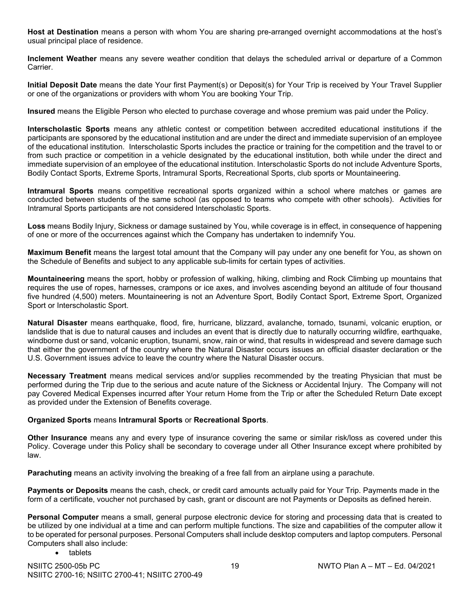**Host at Destination** means a person with whom You are sharing pre-arranged overnight accommodations at the host's usual principal place of residence.

**Inclement Weather** means any severe weather condition that delays the scheduled arrival or departure of a Common Carrier.

**Initial Deposit Date** means the date Your first Payment(s) or Deposit(s) for Your Trip is received by Your Travel Supplier or one of the organizations or providers with whom You are booking Your Trip.

**Insured** means the Eligible Person who elected to purchase coverage and whose premium was paid under the Policy.

**Interscholastic Sports** means any athletic contest or competition between accredited educational institutions if the participants are sponsored by the educational institution and are under the direct and immediate supervision of an employee of the educational institution. Interscholastic Sports includes the practice or training for the competition and the travel to or from such practice or competition in a vehicle designated by the educational institution, both while under the direct and immediate supervision of an employee of the educational institution. Interscholastic Sports do not include Adventure Sports, Bodily Contact Sports, Extreme Sports, Intramural Sports, Recreational Sports, club sports or Mountaineering.

**Intramural Sports** means competitive recreational sports organized within a school where matches or games are conducted between students of the same school (as opposed to teams who compete with other schools). Activities for Intramural Sports participants are not considered Interscholastic Sports.

**Loss** means Bodily Injury, Sickness or damage sustained by You, while coverage is in effect, in consequence of happening of one or more of the occurrences against which the Company has undertaken to indemnify You.

**Maximum Benefit** means the largest total amount that the Company will pay under any one benefit for You, as shown on the Schedule of Benefits and subject to any applicable sub-limits for certain types of activities.

**Mountaineering** means the sport, hobby or profession of walking, hiking, climbing and Rock Climbing up mountains that requires the use of ropes, harnesses, crampons or ice axes, and involves ascending beyond an altitude of four thousand five hundred (4,500) meters. Mountaineering is not an Adventure Sport, Bodily Contact Sport, Extreme Sport, Organized Sport or Interscholastic Sport.

**Natural Disaster** means earthquake, flood, fire, hurricane, blizzard, avalanche, tornado, tsunami, volcanic eruption, or landslide that is due to natural causes and includes an event that is directly due to naturally occurring wildfire, earthquake, windborne dust or sand, volcanic eruption, tsunami, snow, rain or wind, that results in widespread and severe damage such that either the government of the country where the Natural Disaster occurs issues an official disaster declaration or the U.S. Government issues advice to leave the country where the Natural Disaster occurs.

**Necessary Treatment** means medical services and/or supplies recommended by the treating Physician that must be performed during the Trip due to the serious and acute nature of the Sickness or Accidental Injury. The Company will not pay Covered Medical Expenses incurred after Your return Home from the Trip or after the Scheduled Return Date except as provided under the Extension of Benefits coverage.

# **Organized Sports** means **Intramural Sports** or **Recreational Sports**.

**Other Insurance** means any and every type of insurance covering the same or similar risk/loss as covered under this Policy. Coverage under this Policy shall be secondary to coverage under all Other Insurance except where prohibited by law.

**Parachuting** means an activity involving the breaking of a free fall from an airplane using a parachute.

**Payments or Deposits** means the cash, check, or credit card amounts actually paid for Your Trip. Payments made in the form of a certificate, voucher not purchased by cash, grant or discount are not Payments or Deposits as defined herein.

**Personal Computer** means a small, general purpose electronic device for storing and processing data that is created to be utilized by one individual at a time and can perform multiple functions. The size and capabilities of the computer allow it to be operated for personal purposes. Personal Computers shall include desktop computers and laptop computers. Personal Computers shall also include:

• tablets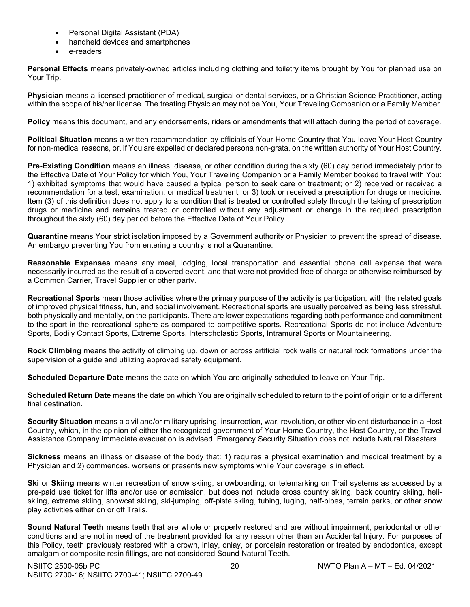- Personal Digital Assistant (PDA)
- handheld devices and smartphones
- e-readers

**Personal Effects** means privately-owned articles including clothing and toiletry items brought by You for planned use on Your Trip.

**Physician** means a licensed practitioner of medical, surgical or dental services, or a Christian Science Practitioner, acting within the scope of his/her license. The treating Physician may not be You, Your Traveling Companion or a Family Member.

**Policy** means this document, and any endorsements, riders or amendments that will attach during the period of coverage.

**Political Situation** means a written recommendation by officials of Your Home Country that You leave Your Host Country for non-medical reasons, or, if You are expelled or declared persona non-grata, on the written authority of Your Host Country.

**Pre-Existing Condition** means an illness, disease, or other condition during the sixty (60) day period immediately prior to the Effective Date of Your Policy for which You, Your Traveling Companion or a Family Member booked to travel with You: 1) exhibited symptoms that would have caused a typical person to seek care or treatment; or 2) received or received a recommendation for a test, examination, or medical treatment; or 3) took or received a prescription for drugs or medicine. Item (3) of this definition does not apply to a condition that is treated or controlled solely through the taking of prescription drugs or medicine and remains treated or controlled without any adjustment or change in the required prescription throughout the sixty (60) day period before the Effective Date of Your Policy.

**Quarantine** means Your strict isolation imposed by a Government authority or Physician to prevent the spread of disease. An embargo preventing You from entering a country is not a Quarantine.

**Reasonable Expenses** means any meal, lodging, local transportation and essential phone call expense that were necessarily incurred as the result of a covered event, and that were not provided free of charge or otherwise reimbursed by a Common Carrier, Travel Supplier or other party.

**Recreational Sports** mean those activities where the primary purpose of the activity is participation, with the related goals of improved physical fitness, fun, and social involvement. Recreational sports are usually perceived as being less stressful, both physically and mentally, on the participants. There are lower expectations regarding both performance and commitment to the sport in the recreational sphere as compared to competitive sports. Recreational Sports do not include Adventure Sports, Bodily Contact Sports, Extreme Sports, Interscholastic Sports, Intramural Sports or Mountaineering.

**Rock Climbing** means the activity of climbing up, down or across artificial rock walls or natural rock formations under the supervision of a guide and utilizing approved safety equipment.

**Scheduled Departure Date** means the date on which You are originally scheduled to leave on Your Trip.

**Scheduled Return Date** means the date on which You are originally scheduled to return to the point of origin or to a different final destination.

**Security Situation** means a civil and/or military uprising, insurrection, war, revolution, or other violent disturbance in a Host Country, which, in the opinion of either the recognized government of Your Home Country, the Host Country, or the Travel Assistance Company immediate evacuation is advised. Emergency Security Situation does not include Natural Disasters.

**Sickness** means an illness or disease of the body that: 1) requires a physical examination and medical treatment by a Physician and 2) commences, worsens or presents new symptoms while Your coverage is in effect.

**Ski** or **Skiing** means winter recreation of snow skiing, snowboarding, or telemarking on Trail systems as accessed by a pre-paid use ticket for lifts and/or use or admission, but does not include cross country skiing, back country skiing, heliskiing, extreme skiing, snowcat skiing, ski-jumping, off-piste skiing, tubing, luging, half-pipes, terrain parks, or other snow play activities either on or off Trails.

**Sound Natural Teeth** means teeth that are whole or properly restored and are without impairment, periodontal or other conditions and are not in need of the treatment provided for any reason other than an Accidental Injury. For purposes of this Policy, teeth previously restored with a crown, inlay, onlay, or porcelain restoration or treated by endodontics, except amalgam or composite resin fillings, are not considered Sound Natural Teeth.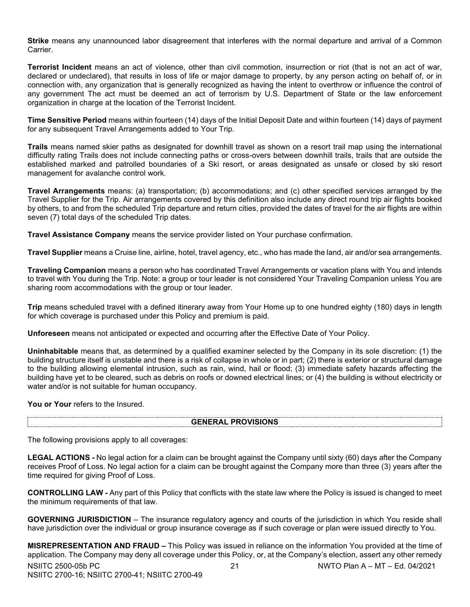**Strike** means any unannounced labor disagreement that interferes with the normal departure and arrival of a Common Carrier.

**Terrorist Incident** means an act of violence, other than civil commotion, insurrection or riot (that is not an act of war, declared or undeclared), that results in loss of life or major damage to property, by any person acting on behalf of, or in connection with, any organization that is generally recognized as having the intent to overthrow or influence the control of any government The act must be deemed an act of terrorism by U.S. Department of State or the law enforcement organization in charge at the location of the Terrorist Incident.

**Time Sensitive Period** means within fourteen (14) days of the Initial Deposit Date and within fourteen (14) days of payment for any subsequent Travel Arrangements added to Your Trip.

**Trails** means named skier paths as designated for downhill travel as shown on a resort trail map using the international difficulty rating Trails does not include connecting paths or cross-overs between downhill trails, trails that are outside the established marked and patrolled boundaries of a Ski resort, or areas designated as unsafe or closed by ski resort management for avalanche control work.

**Travel Arrangements** means: (a) transportation; (b) accommodations; and (c) other specified services arranged by the Travel Supplier for the Trip. Air arrangements covered by this definition also include any direct round trip air flights booked by others, to and from the scheduled Trip departure and return cities, provided the dates of travel for the air flights are within seven (7) total days of the scheduled Trip dates.

**Travel Assistance Company** means the service provider listed on Your purchase confirmation.

**Travel Supplier** means a Cruise line, airline, hotel, travel agency, etc., who has made the land, air and/or sea arrangements.

**Traveling Companion** means a person who has coordinated Travel Arrangements or vacation plans with You and intends to travel with You during the Trip. Note: a group or tour leader is not considered Your Traveling Companion unless You are sharing room accommodations with the group or tour leader.

**Trip** means scheduled travel with a defined itinerary away from Your Home up to one hundred eighty (180) days in length for which coverage is purchased under this Policy and premium is paid.

**Unforeseen** means not anticipated or expected and occurring after the Effective Date of Your Policy.

**Uninhabitable** means that, as determined by a qualified examiner selected by the Company in its sole discretion: (1) the building structure itself is unstable and there is a risk of collapse in whole or in part; (2) there is exterior or structural damage to the building allowing elemental intrusion, such as rain, wind, hail or flood; (3) immediate safety hazards affecting the building have yet to be cleared, such as debris on roofs or downed electrical lines; or (4) the building is without electricity or water and/or is not suitable for human occupancy.

You or Your refers to the Insured.

#### **GENERAL PROVISIONS**

The following provisions apply to all coverages:

**LEGAL ACTIONS -** No legal action for a claim can be brought against the Company until sixty (60) days after the Company receives Proof of Loss. No legal action for a claim can be brought against the Company more than three (3) years after the time required for giving Proof of Loss.

**CONTROLLING LAW -** Any part of this Policy that conflicts with the state law where the Policy is issued is changed to meet the minimum requirements of that law.

**GOVERNING JURISDICTION** – The insurance regulatory agency and courts of the jurisdiction in which You reside shall have jurisdiction over the individual or group insurance coverage as if such coverage or plan were issued directly to You.

NSIITC 2500-05b PC 21 NWTO Plan A – MT – Ed. 04/2021 NSIITC 2700-16; NSIITC 2700-41; NSIITC 2700-49 **MISREPRESENTATION AND FRAUD –** This Policy was issued in reliance on the information You provided at the time of application. The Company may deny all coverage under this Policy, or, at the Company's election, assert any other remedy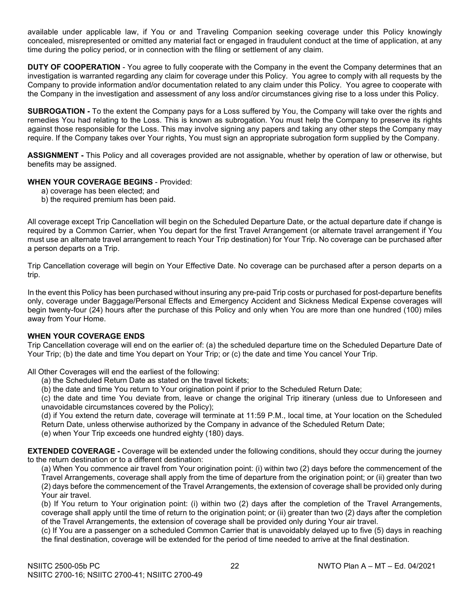available under applicable law, if You or and Traveling Companion seeking coverage under this Policy knowingly concealed, misrepresented or omitted any material fact or engaged in fraudulent conduct at the time of application, at any time during the policy period, or in connection with the filing or settlement of any claim.

**DUTY OF COOPERATION** - You agree to fully cooperate with the Company in the event the Company determines that an investigation is warranted regarding any claim for coverage under this Policy. You agree to comply with all requests by the Company to provide information and/or documentation related to any claim under this Policy. You agree to cooperate with the Company in the investigation and assessment of any loss and/or circumstances giving rise to a loss under this Policy.

**SUBROGATION -** To the extent the Company pays for a Loss suffered by You, the Company will take over the rights and remedies You had relating to the Loss. This is known as subrogation. You must help the Company to preserve its rights against those responsible for the Loss. This may involve signing any papers and taking any other steps the Company may require. If the Company takes over Your rights, You must sign an appropriate subrogation form supplied by the Company.

**ASSIGNMENT -** This Policy and all coverages provided are not assignable, whether by operation of law or otherwise, but benefits may be assigned.

# **WHEN YOUR COVERAGE BEGINS** - Provided:

- a) coverage has been elected; and
- b) the required premium has been paid.

All coverage except Trip Cancellation will begin on the Scheduled Departure Date, or the actual departure date if change is required by a Common Carrier, when You depart for the first Travel Arrangement (or alternate travel arrangement if You must use an alternate travel arrangement to reach Your Trip destination) for Your Trip. No coverage can be purchased after a person departs on a Trip.

Trip Cancellation coverage will begin on Your Effective Date. No coverage can be purchased after a person departs on a trip.

In the event this Policy has been purchased without insuring any pre-paid Trip costs or purchased for post-departure benefits only, coverage under Baggage/Personal Effects and Emergency Accident and Sickness Medical Expense coverages will begin twenty-four (24) hours after the purchase of this Policy and only when You are more than one hundred (100) miles away from Your Home.

#### **WHEN YOUR COVERAGE ENDS**

Trip Cancellation coverage will end on the earlier of: (a) the scheduled departure time on the Scheduled Departure Date of Your Trip; (b) the date and time You depart on Your Trip; or (c) the date and time You cancel Your Trip.

All Other Coverages will end the earliest of the following:

(a) the Scheduled Return Date as stated on the travel tickets;

(b) the date and time You return to Your origination point if prior to the Scheduled Return Date;

(c) the date and time You deviate from, leave or change the original Trip itinerary (unless due to Unforeseen and unavoidable circumstances covered by the Policy);

(d) if You extend the return date, coverage will terminate at 11:59 P.M., local time, at Your location on the Scheduled Return Date, unless otherwise authorized by the Company in advance of the Scheduled Return Date;

(e) when Your Trip exceeds one hundred eighty (180) days.

**EXTENDED COVERAGE -** Coverage will be extended under the following conditions, should they occur during the journey to the return destination or to a different destination:

(a) When You commence air travel from Your origination point: (i) within two (2) days before the commencement of the Travel Arrangements, coverage shall apply from the time of departure from the origination point; or (ii) greater than two (2) days before the commencement of the Travel Arrangements, the extension of coverage shall be provided only during Your air travel.

(b) If You return to Your origination point: (i) within two (2) days after the completion of the Travel Arrangements, coverage shall apply until the time of return to the origination point; or (ii) greater than two (2) days after the completion of the Travel Arrangements, the extension of coverage shall be provided only during Your air travel.

(c) If You are a passenger on a scheduled Common Carrier that is unavoidably delayed up to five (5) days in reaching the final destination, coverage will be extended for the period of time needed to arrive at the final destination.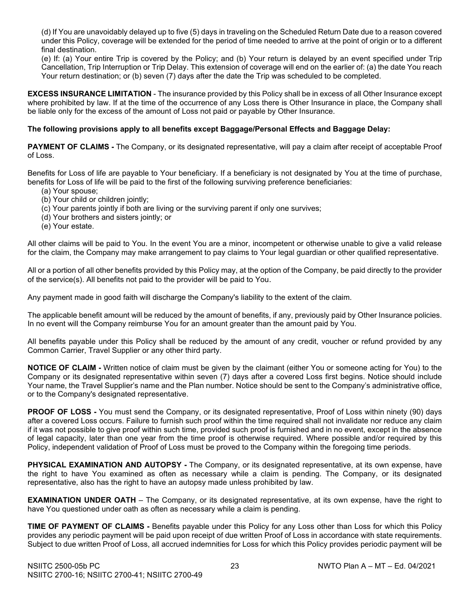(d) If You are unavoidably delayed up to five (5) days in traveling on the Scheduled Return Date due to a reason covered under this Policy, coverage will be extended for the period of time needed to arrive at the point of origin or to a different final destination.

(e) If: (a) Your entire Trip is covered by the Policy; and (b) Your return is delayed by an event specified under Trip Cancellation, Trip Interruption or Trip Delay. This extension of coverage will end on the earlier of: (a) the date You reach Your return destination; or (b) seven (7) days after the date the Trip was scheduled to be completed.

**EXCESS INSURANCE LIMITATION** - The insurance provided by this Policy shall be in excess of all Other Insurance except where prohibited by law. If at the time of the occurrence of any Loss there is Other Insurance in place, the Company shall be liable only for the excess of the amount of Loss not paid or payable by Other Insurance.

# **The following provisions apply to all benefits except Baggage/Personal Effects and Baggage Delay:**

**PAYMENT OF CLAIMS -** The Company, or its designated representative, will pay a claim after receipt of acceptable Proof of Loss.

Benefits for Loss of life are payable to Your beneficiary. If a beneficiary is not designated by You at the time of purchase, benefits for Loss of life will be paid to the first of the following surviving preference beneficiaries:

- (a) Your spouse;
- (b) Your child or children jointly;
- (c) Your parents jointly if both are living or the surviving parent if only one survives;
- (d) Your brothers and sisters jointly; or
- (e) Your estate.

All other claims will be paid to You. In the event You are a minor, incompetent or otherwise unable to give a valid release for the claim, the Company may make arrangement to pay claims to Your legal guardian or other qualified representative.

All or a portion of all other benefits provided by this Policy may, at the option of the Company, be paid directly to the provider of the service(s). All benefits not paid to the provider will be paid to You.

Any payment made in good faith will discharge the Company's liability to the extent of the claim.

The applicable benefit amount will be reduced by the amount of benefits, if any, previously paid by Other Insurance policies. In no event will the Company reimburse You for an amount greater than the amount paid by You.

All benefits payable under this Policy shall be reduced by the amount of any credit, voucher or refund provided by any Common Carrier, Travel Supplier or any other third party.

**NOTICE OF CLAIM -** Written notice of claim must be given by the claimant (either You or someone acting for You) to the Company or its designated representative within seven (7) days after a covered Loss first begins. Notice should include Your name, the Travel Supplier's name and the Plan number. Notice should be sent to the Company's administrative office, or to the Company's designated representative.

**PROOF OF LOSS -** You must send the Company, or its designated representative, Proof of Loss within ninety (90) days after a covered Loss occurs. Failure to furnish such proof within the time required shall not invalidate nor reduce any claim if it was not possible to give proof within such time, provided such proof is furnished and in no event, except in the absence of legal capacity, later than one year from the time proof is otherwise required. Where possible and/or required by this Policy, independent validation of Proof of Loss must be proved to the Company within the foregoing time periods.

**PHYSICAL EXAMINATION AND AUTOPSY -** The Company, or its designated representative, at its own expense, have the right to have You examined as often as necessary while a claim is pending. The Company, or its designated representative, also has the right to have an autopsy made unless prohibited by law.

**EXAMINATION UNDER OATH** – The Company, or its designated representative, at its own expense, have the right to have You questioned under oath as often as necessary while a claim is pending.

**TIME OF PAYMENT OF CLAIMS -** Benefits payable under this Policy for any Loss other than Loss for which this Policy provides any periodic payment will be paid upon receipt of due written Proof of Loss in accordance with state requirements. Subject to due written Proof of Loss, all accrued indemnities for Loss for which this Policy provides periodic payment will be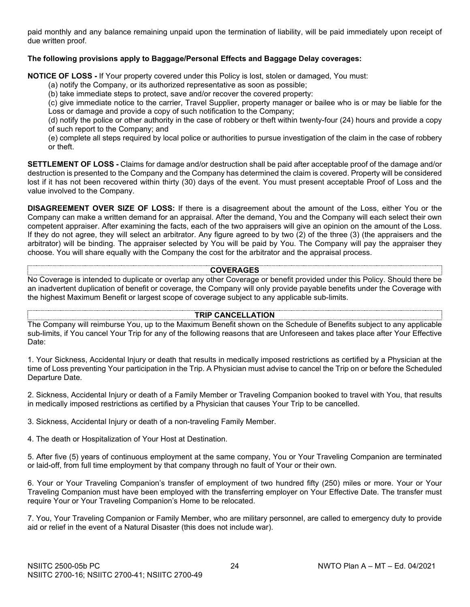paid monthly and any balance remaining unpaid upon the termination of liability, will be paid immediately upon receipt of due written proof.

# **The following provisions apply to Baggage/Personal Effects and Baggage Delay coverages:**

**NOTICE OF LOSS -** If Your property covered under this Policy is lost, stolen or damaged, You must:

(a) notify the Company, or its authorized representative as soon as possible;

(b) take immediate steps to protect, save and/or recover the covered property:

(c) give immediate notice to the carrier, Travel Supplier, property manager or bailee who is or may be liable for the Loss or damage and provide a copy of such notification to the Company;

(d) notify the police or other authority in the case of robbery or theft within twenty-four (24) hours and provide a copy of such report to the Company; and

(e) complete all steps required by local police or authorities to pursue investigation of the claim in the case of robbery or theft.

**SETTLEMENT OF LOSS -** Claims for damage and/or destruction shall be paid after acceptable proof of the damage and/or destruction is presented to the Company and the Company has determined the claim is covered. Property will be considered lost if it has not been recovered within thirty (30) days of the event. You must present acceptable Proof of Loss and the value involved to the Company.

**DISAGREEMENT OVER SIZE OF LOSS:** If there is a disagreement about the amount of the Loss, either You or the Company can make a written demand for an appraisal. After the demand, You and the Company will each select their own competent appraiser. After examining the facts, each of the two appraisers will give an opinion on the amount of the Loss. If they do not agree, they will select an arbitrator. Any figure agreed to by two (2) of the three (3) (the appraisers and the arbitrator) will be binding. The appraiser selected by You will be paid by You. The Company will pay the appraiser they choose. You will share equally with the Company the cost for the arbitrator and the appraisal process.

#### **COVERAGES**

No Coverage is intended to duplicate or overlap any other Coverage or benefit provided under this Policy. Should there be an inadvertent duplication of benefit or coverage, the Company will only provide payable benefits under the Coverage with the highest Maximum Benefit or largest scope of coverage subject to any applicable sub-limits.

#### **TRIP CANCELLATION**

The Company will reimburse You, up to the Maximum Benefit shown on the Schedule of Benefits subject to any applicable sub-limits, if You cancel Your Trip for any of the following reasons that are Unforeseen and takes place after Your Effective Date:

1. Your Sickness, Accidental Injury or death that results in medically imposed restrictions as certified by a Physician at the time of Loss preventing Your participation in the Trip. A Physician must advise to cancel the Trip on or before the Scheduled Departure Date.

2. Sickness, Accidental Injury or death of a Family Member or Traveling Companion booked to travel with You, that results in medically imposed restrictions as certified by a Physician that causes Your Trip to be cancelled.

3. Sickness, Accidental Injury or death of a non-traveling Family Member.

4. The death or Hospitalization of Your Host at Destination.

5. After five (5) years of continuous employment at the same company, You or Your Traveling Companion are terminated or laid-off, from full time employment by that company through no fault of Your or their own.

6. Your or Your Traveling Companion's transfer of employment of two hundred fifty (250) miles or more. Your or Your Traveling Companion must have been employed with the transferring employer on Your Effective Date. The transfer must require Your or Your Traveling Companion's Home to be relocated.

7. You, Your Traveling Companion or Family Member, who are military personnel, are called to emergency duty to provide aid or relief in the event of a Natural Disaster (this does not include war).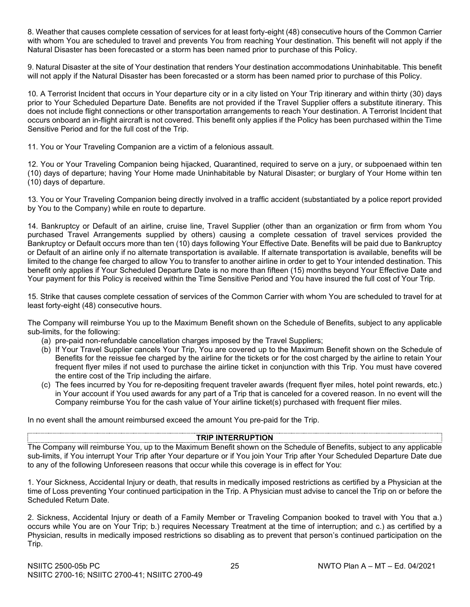8. Weather that causes complete cessation of services for at least forty-eight (48) consecutive hours of the Common Carrier with whom You are scheduled to travel and prevents You from reaching Your destination. This benefit will not apply if the Natural Disaster has been forecasted or a storm has been named prior to purchase of this Policy.

9. Natural Disaster at the site of Your destination that renders Your destination accommodations Uninhabitable. This benefit will not apply if the Natural Disaster has been forecasted or a storm has been named prior to purchase of this Policy.

10. A Terrorist Incident that occurs in Your departure city or in a city listed on Your Trip itinerary and within thirty (30) days prior to Your Scheduled Departure Date. Benefits are not provided if the Travel Supplier offers a substitute itinerary. This does not include flight connections or other transportation arrangements to reach Your destination. A Terrorist Incident that occurs onboard an in-flight aircraft is not covered. This benefit only applies if the Policy has been purchased within the Time Sensitive Period and for the full cost of the Trip.

11. You or Your Traveling Companion are a victim of a felonious assault.

12. You or Your Traveling Companion being hijacked, Quarantined, required to serve on a jury, or subpoenaed within ten (10) days of departure; having Your Home made Uninhabitable by Natural Disaster; or burglary of Your Home within ten (10) days of departure.

13. You or Your Traveling Companion being directly involved in a traffic accident (substantiated by a police report provided by You to the Company) while en route to departure.

14. Bankruptcy or Default of an airline, cruise line, Travel Supplier (other than an organization or firm from whom You purchased Travel Arrangements supplied by others) causing a complete cessation of travel services provided the Bankruptcy or Default occurs more than ten (10) days following Your Effective Date. Benefits will be paid due to Bankruptcy or Default of an airline only if no alternate transportation is available. If alternate transportation is available, benefits will be limited to the change fee charged to allow You to transfer to another airline in order to get to Your intended destination. This benefit only applies if Your Scheduled Departure Date is no more than fifteen (15) months beyond Your Effective Date and Your payment for this Policy is received within the Time Sensitive Period and You have insured the full cost of Your Trip.

15. Strike that causes complete cessation of services of the Common Carrier with whom You are scheduled to travel for at least forty-eight (48) consecutive hours.

The Company will reimburse You up to the Maximum Benefit shown on the Schedule of Benefits, subject to any applicable sub-limits, for the following:

- (a) pre-paid non-refundable cancellation charges imposed by the Travel Suppliers;
- (b) If Your Travel Supplier cancels Your Trip, You are covered up to the Maximum Benefit shown on the Schedule of Benefits for the reissue fee charged by the airline for the tickets or for the cost charged by the airline to retain Your frequent flyer miles if not used to purchase the airline ticket in conjunction with this Trip. You must have covered the entire cost of the Trip including the airfare.
- (c) The fees incurred by You for re-depositing frequent traveler awards (frequent flyer miles, hotel point rewards, etc.) in Your account if You used awards for any part of a Trip that is canceled for a covered reason. In no event will the Company reimburse You for the cash value of Your airline ticket(s) purchased with frequent flier miles.

In no event shall the amount reimbursed exceed the amount You pre-paid for the Trip.

#### **TRIP INTERRUPTION**

The Company will reimburse You, up to the Maximum Benefit shown on the Schedule of Benefits, subject to any applicable sub-limits, if You interrupt Your Trip after Your departure or if You join Your Trip after Your Scheduled Departure Date due to any of the following Unforeseen reasons that occur while this coverage is in effect for You:

1. Your Sickness, Accidental Injury or death, that results in medically imposed restrictions as certified by a Physician at the time of Loss preventing Your continued participation in the Trip. A Physician must advise to cancel the Trip on or before the Scheduled Return Date.

2. Sickness, Accidental Injury or death of a Family Member or Traveling Companion booked to travel with You that a.) occurs while You are on Your Trip; b.) requires Necessary Treatment at the time of interruption; and c.) as certified by a Physician, results in medically imposed restrictions so disabling as to prevent that person's continued participation on the Trip.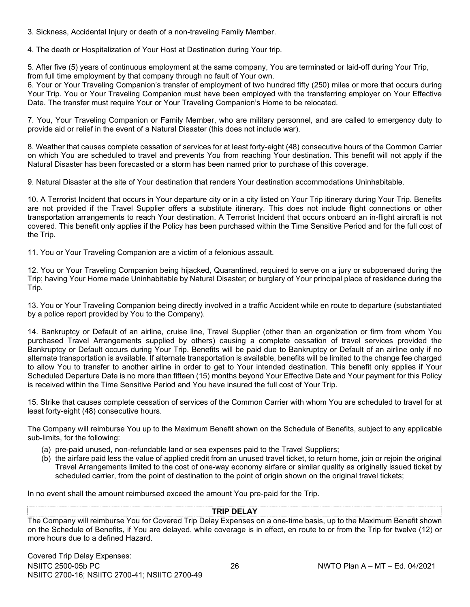3. Sickness, Accidental Injury or death of a non-traveling Family Member.

4. The death or Hospitalization of Your Host at Destination during Your trip.

5. After five (5) years of continuous employment at the same company, You are terminated or laid-off during Your Trip, from full time employment by that company through no fault of Your own.

6. Your or Your Traveling Companion's transfer of employment of two hundred fifty (250) miles or more that occurs during Your Trip. You or Your Traveling Companion must have been employed with the transferring employer on Your Effective Date. The transfer must require Your or Your Traveling Companion's Home to be relocated.

7. You, Your Traveling Companion or Family Member, who are military personnel, and are called to emergency duty to provide aid or relief in the event of a Natural Disaster (this does not include war).

8. Weather that causes complete cessation of services for at least forty-eight (48) consecutive hours of the Common Carrier on which You are scheduled to travel and prevents You from reaching Your destination. This benefit will not apply if the Natural Disaster has been forecasted or a storm has been named prior to purchase of this coverage.

9. Natural Disaster at the site of Your destination that renders Your destination accommodations Uninhabitable.

10. A Terrorist Incident that occurs in Your departure city or in a city listed on Your Trip itinerary during Your Trip. Benefits are not provided if the Travel Supplier offers a substitute itinerary. This does not include flight connections or other transportation arrangements to reach Your destination. A Terrorist Incident that occurs onboard an in-flight aircraft is not covered. This benefit only applies if the Policy has been purchased within the Time Sensitive Period and for the full cost of the Trip.

11. You or Your Traveling Companion are a victim of a felonious assault.

12. You or Your Traveling Companion being hijacked, Quarantined, required to serve on a jury or subpoenaed during the Trip; having Your Home made Uninhabitable by Natural Disaster; or burglary of Your principal place of residence during the Trip.

13. You or Your Traveling Companion being directly involved in a traffic Accident while en route to departure (substantiated by a police report provided by You to the Company).

14. Bankruptcy or Default of an airline, cruise line, Travel Supplier (other than an organization or firm from whom You purchased Travel Arrangements supplied by others) causing a complete cessation of travel services provided the Bankruptcy or Default occurs during Your Trip. Benefits will be paid due to Bankruptcy or Default of an airline only if no alternate transportation is available. If alternate transportation is available, benefits will be limited to the change fee charged to allow You to transfer to another airline in order to get to Your intended destination. This benefit only applies if Your Scheduled Departure Date is no more than fifteen (15) months beyond Your Effective Date and Your payment for this Policy is received within the Time Sensitive Period and You have insured the full cost of Your Trip.

15. Strike that causes complete cessation of services of the Common Carrier with whom You are scheduled to travel for at least forty-eight (48) consecutive hours.

The Company will reimburse You up to the Maximum Benefit shown on the Schedule of Benefits, subject to any applicable sub-limits, for the following:

- (a) pre-paid unused, non-refundable land or sea expenses paid to the Travel Suppliers;
- (b) the airfare paid less the value of applied credit from an unused travel ticket, to return home, join or rejoin the original Travel Arrangements limited to the cost of one-way economy airfare or similar quality as originally issued ticket by scheduled carrier, from the point of destination to the point of origin shown on the original travel tickets;

In no event shall the amount reimbursed exceed the amount You pre-paid for the Trip.

#### **TRIP DELAY**

The Company will reimburse You for Covered Trip Delay Expenses on a one-time basis, up to the Maximum Benefit shown on the Schedule of Benefits, if You are delayed, while coverage is in effect, en route to or from the Trip for twelve (12) or more hours due to a defined Hazard.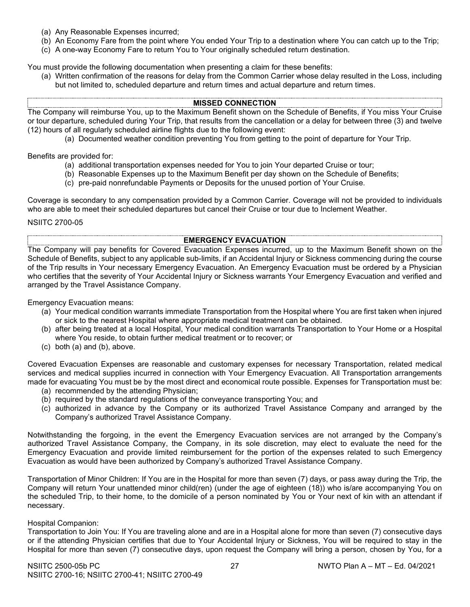- (a) Any Reasonable Expenses incurred;
- (b) An Economy Fare from the point where You ended Your Trip to a destination where You can catch up to the Trip;
- (c) A one-way Economy Fare to return You to Your originally scheduled return destination.

You must provide the following documentation when presenting a claim for these benefits:

(a) Written confirmation of the reasons for delay from the Common Carrier whose delay resulted in the Loss, including but not limited to, scheduled departure and return times and actual departure and return times.

#### **MISSED CONNECTION**

The Company will reimburse You, up to the Maximum Benefit shown on the Schedule of Benefits, if You miss Your Cruise or tour departure, scheduled during Your Trip, that results from the cancellation or a delay for between three (3) and twelve (12) hours of all regularly scheduled airline flights due to the following event:

(a) Documented weather condition preventing You from getting to the point of departure for Your Trip.

Benefits are provided for:

- (a) additional transportation expenses needed for You to join Your departed Cruise or tour;
- (b) Reasonable Expenses up to the Maximum Benefit per day shown on the Schedule of Benefits;
- (c) pre-paid nonrefundable Payments or Deposits for the unused portion of Your Cruise.

Coverage is secondary to any compensation provided by a Common Carrier. Coverage will not be provided to individuals who are able to meet their scheduled departures but cancel their Cruise or tour due to Inclement Weather.

NSIITC 2700-05

#### **EMERGENCY EVACUATION**

The Company will pay benefits for Covered Evacuation Expenses incurred, up to the Maximum Benefit shown on the Schedule of Benefits, subject to any applicable sub-limits, if an Accidental Injury or Sickness commencing during the course of the Trip results in Your necessary Emergency Evacuation. An Emergency Evacuation must be ordered by a Physician who certifies that the severity of Your Accidental Injury or Sickness warrants Your Emergency Evacuation and verified and arranged by the Travel Assistance Company.

Emergency Evacuation means:

- (a) Your medical condition warrants immediate Transportation from the Hospital where You are first taken when injured or sick to the nearest Hospital where appropriate medical treatment can be obtained.
- (b) after being treated at a local Hospital, Your medical condition warrants Transportation to Your Home or a Hospital where You reside, to obtain further medical treatment or to recover; or
- (c) both (a) and (b), above.

Covered Evacuation Expenses are reasonable and customary expenses for necessary Transportation, related medical services and medical supplies incurred in connection with Your Emergency Evacuation. All Transportation arrangements made for evacuating You must be by the most direct and economical route possible. Expenses for Transportation must be:

- (a) recommended by the attending Physician;
- (b) required by the standard regulations of the conveyance transporting You; and
- (c) authorized in advance by the Company or its authorized Travel Assistance Company and arranged by the Company's authorized Travel Assistance Company.

Notwithstanding the forgoing, in the event the Emergency Evacuation services are not arranged by the Company's authorized Travel Assistance Company, the Company, in its sole discretion, may elect to evaluate the need for the Emergency Evacuation and provide limited reimbursement for the portion of the expenses related to such Emergency Evacuation as would have been authorized by Company's authorized Travel Assistance Company.

Transportation of Minor Children: If You are in the Hospital for more than seven (7) days, or pass away during the Trip, the Company will return Your unattended minor child(ren) (under the age of eighteen (18)) who is/are accompanying You on the scheduled Trip, to their home, to the domicile of a person nominated by You or Your next of kin with an attendant if necessary.

#### Hospital Companion:

Transportation to Join You: If You are traveling alone and are in a Hospital alone for more than seven (7) consecutive days or if the attending Physician certifies that due to Your Accidental Injury or Sickness, You will be required to stay in the Hospital for more than seven (7) consecutive days, upon request the Company will bring a person, chosen by You, for a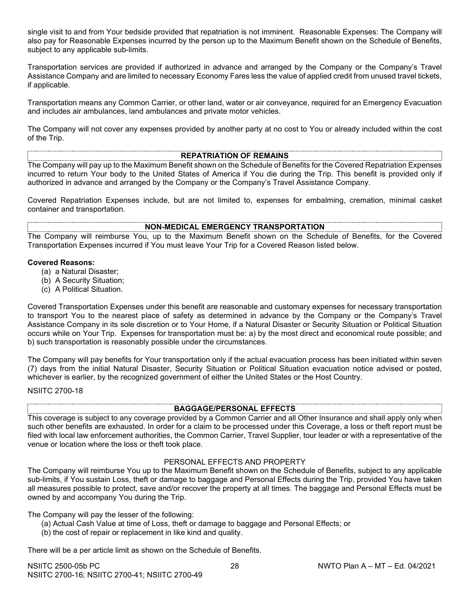single visit to and from Your bedside provided that repatriation is not imminent. Reasonable Expenses: The Company will also pay for Reasonable Expenses incurred by the person up to the Maximum Benefit shown on the Schedule of Benefits, subject to any applicable sub-limits.

Transportation services are provided if authorized in advance and arranged by the Company or the Company's Travel Assistance Company and are limited to necessary Economy Fares less the value of applied credit from unused travel tickets, if applicable.

Transportation means any Common Carrier, or other land, water or air conveyance, required for an Emergency Evacuation and includes air ambulances, land ambulances and private motor vehicles.

The Company will not cover any expenses provided by another party at no cost to You or already included within the cost of the Trip.

#### **REPATRIATION OF REMAINS**

The Company will pay up to the Maximum Benefit shown on the Schedule of Benefits for the Covered Repatriation Expenses incurred to return Your body to the United States of America if You die during the Trip. This benefit is provided only if authorized in advance and arranged by the Company or the Company's Travel Assistance Company.

Covered Repatriation Expenses include, but are not limited to, expenses for embalming, cremation, minimal casket container and transportation.

#### **NON-MEDICAL EMERGENCY TRANSPORTATION**

The Company will reimburse You, up to the Maximum Benefit shown on the Schedule of Benefits, for the Covered Transportation Expenses incurred if You must leave Your Trip for a Covered Reason listed below.

#### **Covered Reasons:**

- (a) a Natural Disaster;
- (b) A Security Situation;
- (c) A Political Situation.

Covered Transportation Expenses under this benefit are reasonable and customary expenses for necessary transportation to transport You to the nearest place of safety as determined in advance by the Company or the Company's Travel Assistance Company in its sole discretion or to Your Home, if a Natural Disaster or Security Situation or Political Situation occurs while on Your Trip. Expenses for transportation must be: a) by the most direct and economical route possible; and b) such transportation is reasonably possible under the circumstances.

The Company will pay benefits for Your transportation only if the actual evacuation process has been initiated within seven (7) days from the initial Natural Disaster, Security Situation or Political Situation evacuation notice advised or posted, whichever is earlier, by the recognized government of either the United States or the Host Country.

NSIITC 2700-18

# **BAGGAGE/PERSONAL EFFECTS**

This coverage is subject to any coverage provided by a Common Carrier and all Other Insurance and shall apply only when such other benefits are exhausted. In order for a claim to be processed under this Coverage, a loss or theft report must be filed with local law enforcement authorities, the Common Carrier, Travel Supplier, tour leader or with a representative of the venue or location where the loss or theft took place.

#### PERSONAL EFFECTS AND PROPERTY

The Company will reimburse You up to the Maximum Benefit shown on the Schedule of Benefits, subject to any applicable sub-limits, if You sustain Loss, theft or damage to baggage and Personal Effects during the Trip, provided You have taken all measures possible to protect, save and/or recover the property at all times. The baggage and Personal Effects must be owned by and accompany You during the Trip.

The Company will pay the lesser of the following:

- (a) Actual Cash Value at time of Loss, theft or damage to baggage and Personal Effects; or
- (b) the cost of repair or replacement in like kind and quality.

There will be a per article limit as shown on the Schedule of Benefits.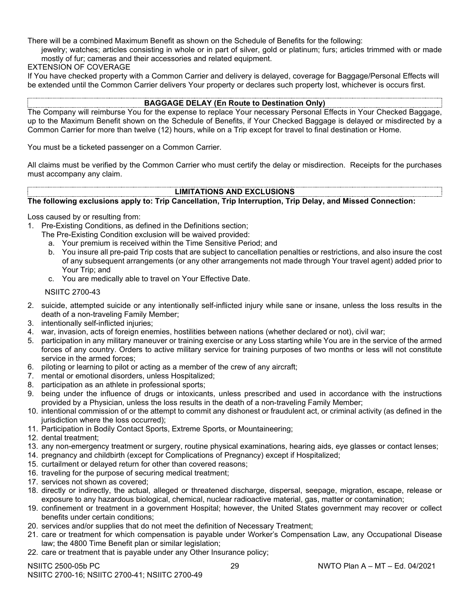There will be a combined Maximum Benefit as shown on the Schedule of Benefits for the following:

jewelry; watches; articles consisting in whole or in part of silver, gold or platinum; furs; articles trimmed with or made mostly of fur; cameras and their accessories and related equipment.

#### EXTENSION OF COVERAGE

If You have checked property with a Common Carrier and delivery is delayed, coverage for Baggage/Personal Effects will be extended until the Common Carrier delivers Your property or declares such property lost, whichever is occurs first.

# **BAGGAGE DELAY (En Route to Destination Only)**

The Company will reimburse You for the expense to replace Your necessary Personal Effects in Your Checked Baggage, up to the Maximum Benefit shown on the Schedule of Benefits, if Your Checked Baggage is delayed or misdirected by a Common Carrier for more than twelve (12) hours, while on a Trip except for travel to final destination or Home.

You must be a ticketed passenger on a Common Carrier.

All claims must be verified by the Common Carrier who must certify the delay or misdirection. Receipts for the purchases must accompany any claim.

# **LIMITATIONS AND EXCLUSIONS**

# **The following exclusions apply to: Trip Cancellation, Trip Interruption, Trip Delay, and Missed Connection:**

Loss caused by or resulting from:

- 1. Pre-Existing Conditions, as defined in the Definitions section;
	- The Pre-Existing Condition exclusion will be waived provided:
		- a. Your premium is received within the Time Sensitive Period; and
		- b. You insure all pre-paid Trip costs that are subject to cancellation penalties or restrictions, and also insure the cost of any subsequent arrangements (or any other arrangements not made through Your travel agent) added prior to Your Trip; and
		- c. You are medically able to travel on Your Effective Date.

NSIITC 2700-43

- 2. suicide, attempted suicide or any intentionally self-inflicted injury while sane or insane, unless the loss results in the death of a non-traveling Family Member;
- 3. intentionally self-inflicted injuries;
- 4. war, invasion, acts of foreign enemies, hostilities between nations (whether declared or not), civil war;
- 5. participation in any military maneuver or training exercise or any Loss starting while You are in the service of the armed forces of any country. Orders to active military service for training purposes of two months or less will not constitute service in the armed forces;
- 6. piloting or learning to pilot or acting as a member of the crew of any aircraft;
- 7. mental or emotional disorders, unless Hospitalized;
- 8. participation as an athlete in professional sports;
- 9. being under the influence of drugs or intoxicants, unless prescribed and used in accordance with the instructions provided by a Physician, unless the loss results in the death of a non-traveling Family Member;
- 10. intentional commission of or the attempt to commit any dishonest or fraudulent act, or criminal activity (as defined in the jurisdiction where the loss occurred);
- 11. Participation in Bodily Contact Sports, Extreme Sports, or Mountaineering;
- 12. dental treatment;
- 13. any non-emergency treatment or surgery, routine physical examinations, hearing aids, eye glasses or contact lenses;
- 14. pregnancy and childbirth (except for Complications of Pregnancy) except if Hospitalized;
- 15. curtailment or delayed return for other than covered reasons;
- 16. traveling for the purpose of securing medical treatment;
- 17. services not shown as covered;
- 18. directly or indirectly, the actual, alleged or threatened discharge, dispersal, seepage, migration, escape, release or exposure to any hazardous biological, chemical, nuclear radioactive material, gas, matter or contamination;
- 19. confinement or treatment in a government Hospital; however, the United States government may recover or collect benefits under certain conditions;
- 20. services and/or supplies that do not meet the definition of Necessary Treatment;
- 21. care or treatment for which compensation is payable under Worker's Compensation Law, any Occupational Disease law; the 4800 Time Benefit plan or similar legislation;
- 22. care or treatment that is payable under any Other Insurance policy;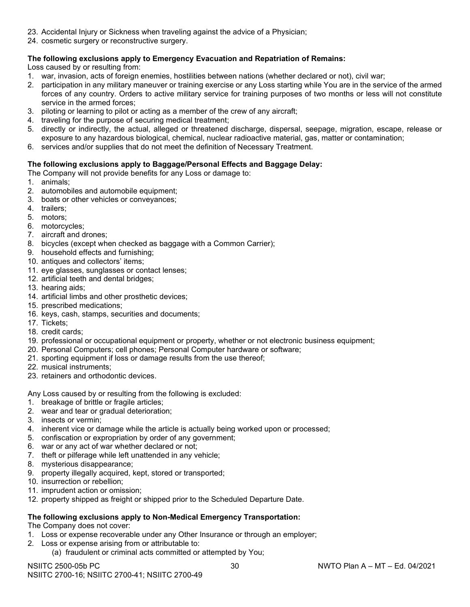- 23. Accidental Injury or Sickness when traveling against the advice of a Physician;
- 24. cosmetic surgery or reconstructive surgery.

# **The following exclusions apply to Emergency Evacuation and Repatriation of Remains:**

Loss caused by or resulting from:

- 1. war, invasion, acts of foreign enemies, hostilities between nations (whether declared or not), civil war;
- 2. participation in any military maneuver or training exercise or any Loss starting while You are in the service of the armed forces of any country. Orders to active military service for training purposes of two months or less will not constitute service in the armed forces;
- 3. piloting or learning to pilot or acting as a member of the crew of any aircraft;
- 4. traveling for the purpose of securing medical treatment;
- 5. directly or indirectly, the actual, alleged or threatened discharge, dispersal, seepage, migration, escape, release or exposure to any hazardous biological, chemical, nuclear radioactive material, gas, matter or contamination;
- 6. services and/or supplies that do not meet the definition of Necessary Treatment.

# **The following exclusions apply to Baggage/Personal Effects and Baggage Delay:**

- The Company will not provide benefits for any Loss or damage to:
- 1. animals;
- 2. automobiles and automobile equipment;
- 3. boats or other vehicles or conveyances;
- 4. trailers;
- 5. motors;
- 6. motorcycles;
- 7. aircraft and drones;
- 8. bicycles (except when checked as baggage with a Common Carrier);
- 9. household effects and furnishing;
- 10. antiques and collectors' items;
- 11. eye glasses, sunglasses or contact lenses;
- 12. artificial teeth and dental bridges;
- 13. hearing aids;
- 14. artificial limbs and other prosthetic devices;
- 15. prescribed medications;
- 16. keys, cash, stamps, securities and documents;
- 17. Tickets;
- 18. credit cards;
- 19. professional or occupational equipment or property, whether or not electronic business equipment;
- 20. Personal Computers; cell phones; Personal Computer hardware or software;
- 21. sporting equipment if loss or damage results from the use thereof;
- 22. musical instruments;
- 23. retainers and orthodontic devices.

Any Loss caused by or resulting from the following is excluded:

- 1. breakage of brittle or fragile articles;
- 2. wear and tear or gradual deterioration;
- 3. insects or vermin;
- 4. inherent vice or damage while the article is actually being worked upon or processed;
- 5. confiscation or expropriation by order of any government;
- 6. war or any act of war whether declared or not;
- 7. theft or pilferage while left unattended in any vehicle;
- 8. mysterious disappearance;
- 9. property illegally acquired, kept, stored or transported;
- 10. insurrection or rebellion;
- 11. imprudent action or omission;
- 12. property shipped as freight or shipped prior to the Scheduled Departure Date.

# **The following exclusions apply to Non-Medical Emergency Transportation:**

The Company does not cover:

- 1. Loss or expense recoverable under any Other Insurance or through an employer;
- 2. Loss or expense arising from or attributable to:
	- (a) fraudulent or criminal acts committed or attempted by You;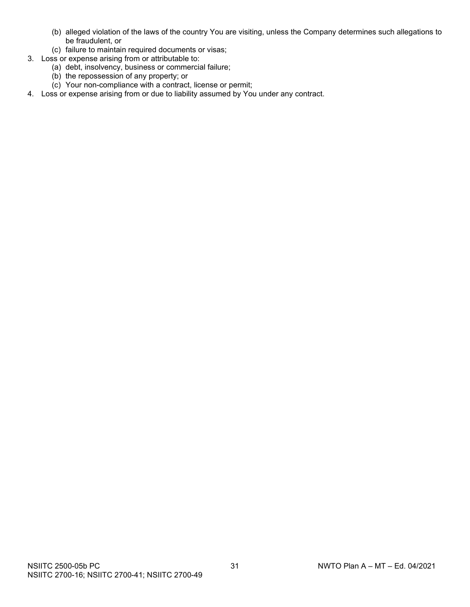- (b) alleged violation of the laws of the country You are visiting, unless the Company determines such allegations to be fraudulent, or
- (c) failure to maintain required documents or visas;
- 3. Loss or expense arising from or attributable to:
	- (a) debt, insolvency, business or commercial failure;
	- (b) the repossession of any property; or
	- (c) Your non-compliance with a contract, license or permit;
- 4. Loss or expense arising from or due to liability assumed by You under any contract.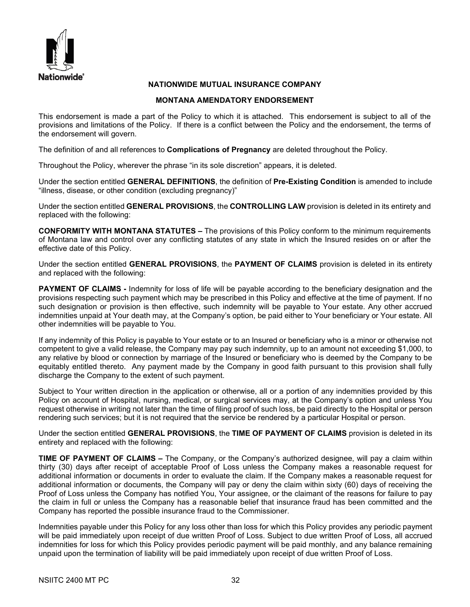

# **NATIONWIDE MUTUAL INSURANCE COMPANY**

# **MONTANA AMENDATORY ENDORSEMENT**

This endorsement is made a part of the Policy to which it is attached. This endorsement is subject to all of the provisions and limitations of the Policy. If there is a conflict between the Policy and the endorsement, the terms of the endorsement will govern.

The definition of and all references to **Complications of Pregnancy** are deleted throughout the Policy.

Throughout the Policy, wherever the phrase "in its sole discretion" appears, it is deleted.

Under the section entitled **GENERAL DEFINITIONS**, the definition of **Pre-Existing Condition** is amended to include "illness, disease, or other condition (excluding pregnancy)"

Under the section entitled **GENERAL PROVISIONS**, the **CONTROLLING LAW** provision is deleted in its entirety and replaced with the following:

**CONFORMITY WITH MONTANA STATUTES –** The provisions of this Policy conform to the minimum requirements of Montana law and control over any conflicting statutes of any state in which the Insured resides on or after the effective date of this Policy.

Under the section entitled **GENERAL PROVISIONS**, the **PAYMENT OF CLAIMS** provision is deleted in its entirety and replaced with the following:

**PAYMENT OF CLAIMS -** Indemnity for loss of life will be payable according to the beneficiary designation and the provisions respecting such payment which may be prescribed in this Policy and effective at the time of payment. If no such designation or provision is then effective, such indemnity will be payable to Your estate. Any other accrued indemnities unpaid at Your death may, at the Company's option, be paid either to Your beneficiary or Your estate. All other indemnities will be payable to You.

If any indemnity of this Policy is payable to Your estate or to an Insured or beneficiary who is a minor or otherwise not competent to give a valid release, the Company may pay such indemnity, up to an amount not exceeding \$1,000, to any relative by blood or connection by marriage of the Insured or beneficiary who is deemed by the Company to be equitably entitled thereto. Any payment made by the Company in good faith pursuant to this provision shall fully discharge the Company to the extent of such payment.

Subject to Your written direction in the application or otherwise, all or a portion of any indemnities provided by this Policy on account of Hospital, nursing, medical, or surgical services may, at the Company's option and unless You request otherwise in writing not later than the time of filing proof of such loss, be paid directly to the Hospital or person rendering such services; but it is not required that the service be rendered by a particular Hospital or person.

Under the section entitled **GENERAL PROVISIONS**, the **TIME OF PAYMENT OF CLAIMS** provision is deleted in its entirety and replaced with the following:

**TIME OF PAYMENT OF CLAIMS –** The Company, or the Company's authorized designee, will pay a claim within thirty (30) days after receipt of acceptable Proof of Loss unless the Company makes a reasonable request for additional information or documents in order to evaluate the claim. If the Company makes a reasonable request for additional information or documents, the Company will pay or deny the claim within sixty (60) days of receiving the Proof of Loss unless the Company has notified You, Your assignee, or the claimant of the reasons for failure to pay the claim in full or unless the Company has a reasonable belief that insurance fraud has been committed and the Company has reported the possible insurance fraud to the Commissioner.

Indemnities payable under this Policy for any loss other than loss for which this Policy provides any periodic payment will be paid immediately upon receipt of due written Proof of Loss. Subject to due written Proof of Loss, all accrued indemnities for loss for which this Policy provides periodic payment will be paid monthly, and any balance remaining unpaid upon the termination of liability will be paid immediately upon receipt of due written Proof of Loss.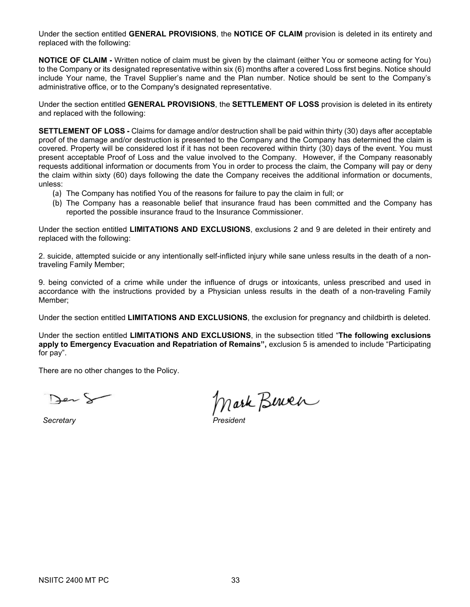Under the section entitled **GENERAL PROVISIONS**, the **NOTICE OF CLAIM** provision is deleted in its entirety and replaced with the following:

**NOTICE OF CLAIM -** Written notice of claim must be given by the claimant (either You or someone acting for You) to the Company or its designated representative within six (6) months after a covered Loss first begins. Notice should include Your name, the Travel Supplier's name and the Plan number. Notice should be sent to the Company's administrative office, or to the Company's designated representative.

Under the section entitled **GENERAL PROVISIONS**, the **SETTLEMENT OF LOSS** provision is deleted in its entirety and replaced with the following:

**SETTLEMENT OF LOSS -** Claims for damage and/or destruction shall be paid within thirty (30) days after acceptable proof of the damage and/or destruction is presented to the Company and the Company has determined the claim is covered. Property will be considered lost if it has not been recovered within thirty (30) days of the event. You must present acceptable Proof of Loss and the value involved to the Company. However, if the Company reasonably requests additional information or documents from You in order to process the claim, the Company will pay or deny the claim within sixty (60) days following the date the Company receives the additional information or documents, unless:

- (a) The Company has notified You of the reasons for failure to pay the claim in full; or
- (b) The Company has a reasonable belief that insurance fraud has been committed and the Company has reported the possible insurance fraud to the Insurance Commissioner.

Under the section entitled **LIMITATIONS AND EXCLUSIONS**, exclusions 2 and 9 are deleted in their entirety and replaced with the following:

2. suicide, attempted suicide or any intentionally self-inflicted injury while sane unless results in the death of a nontraveling Family Member;

9. being convicted of a crime while under the influence of drugs or intoxicants, unless prescribed and used in accordance with the instructions provided by a Physician unless results in the death of a non-traveling Family Member;

Under the section entitled **LIMITATIONS AND EXCLUSIONS**, the exclusion for pregnancy and childbirth is deleted.

Under the section entitled **LIMITATIONS AND EXCLUSIONS**, in the subsection titled "**The following exclusions apply to Emergency Evacuation and Repatriation of Remains",** exclusion 5 is amended to include "Participating for pay".

There are no other changes to the Policy.

Jer S

*Secretary President*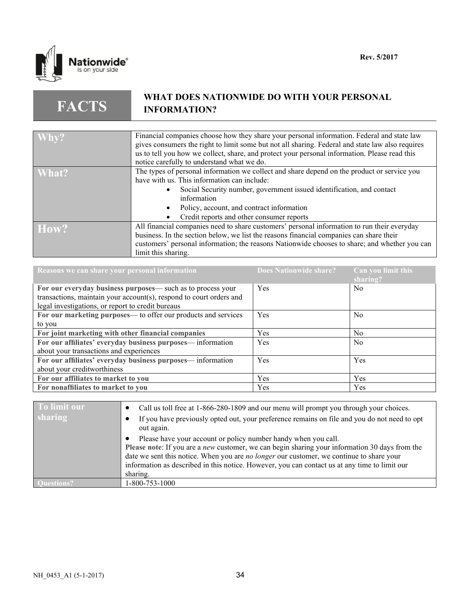

**FACTS**

# **WHAT DOES NATIONWIDE DO WITH YOUR PERSONAL INFORMATION?**

| Why?  | Financial companies choose how they share your personal information. Federal and state law       |
|-------|--------------------------------------------------------------------------------------------------|
|       | gives consumers the right to limit some but not all sharing. Federal and state law also requires |
|       |                                                                                                  |
|       | us to tell you how we collect, share, and protect your personal information. Please read this    |
|       | notice carefully to understand what we do.                                                       |
| What? | The types of personal information we collect and share depend on the product or service you      |
|       | have with us. This information can include:                                                      |
|       | Social Security number, government issued identification, and contact                            |
|       | information                                                                                      |
|       | Policy, account, and contract information                                                        |
|       | Credit reports and other consumer reports                                                        |
| How?  | All financial companies need to share customers' personal information to run their everyday      |
|       | business. In the section below, we list the reasons financial companies can share their          |
|       |                                                                                                  |
|       | customers' personal information; the reasons Nationwide chooses to share; and whether you can    |
|       | limit this sharing.                                                                              |

| Reasons we can share your personal information                      | Does Nationwide share? | Can you limit this<br>sharing? |
|---------------------------------------------------------------------|------------------------|--------------------------------|
| For our everyday business purposes— such as to process your         | Yes                    | N <sub>0</sub>                 |
| transactions, maintain your account(s), respond to court orders and |                        |                                |
| legal investigations, or report to credit bureaus                   |                        |                                |
| For our marketing purposes— to offer our products and services      | Yes                    | N <sub>0</sub>                 |
| to you                                                              |                        |                                |
| For joint marketing with other financial companies                  | <b>Yes</b>             | N <sub>0</sub>                 |
| For our affiliates' everyday business purposes— information         | Yes                    | N <sub>0</sub>                 |
| about your transactions and experiences                             |                        |                                |
| For our affiliates' everyday business purposes— information         | Yes                    | Yes                            |
| about your creditworthiness                                         |                        |                                |
| For our affiliates to market to you                                 | <b>Yes</b>             | Yes                            |
| For nonaffiliates to market to you                                  | Yes                    | Yes                            |

| To limit our | Call us toll free at 1-866-280-1809 and our menu will prompt you through your choices.                                                                                                                                                                                                                                                                                           |
|--------------|----------------------------------------------------------------------------------------------------------------------------------------------------------------------------------------------------------------------------------------------------------------------------------------------------------------------------------------------------------------------------------|
| sharing      | If you have previously opted out, your preference remains on file and you do not need to opt<br>out again.                                                                                                                                                                                                                                                                       |
|              | Please have your account or policy number handy when you call.<br>Please note: If you are a <i>new</i> customer, we can begin sharing your information 30 days from the<br>date we sent this notice. When you are no longer our customer, we continue to share your<br>information as described in this notice. However, you can contact us at any time to limit our<br>sharing. |
|              | 1-800-753-1000                                                                                                                                                                                                                                                                                                                                                                   |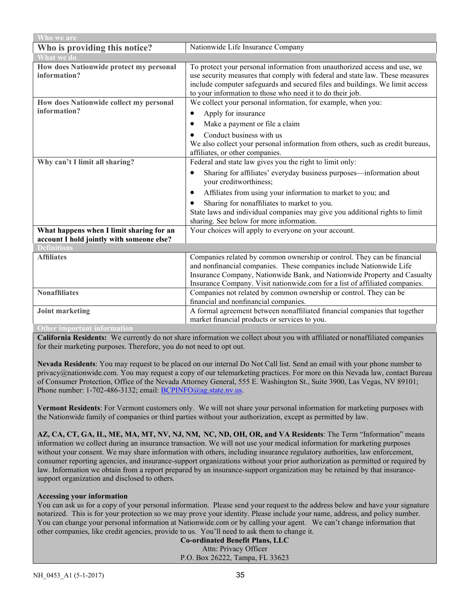| Who we are                                                                            |                                                                                                                                                                                                                                                                                                           |  |
|---------------------------------------------------------------------------------------|-----------------------------------------------------------------------------------------------------------------------------------------------------------------------------------------------------------------------------------------------------------------------------------------------------------|--|
| Who is providing this notice?                                                         | Nationwide Life Insurance Company                                                                                                                                                                                                                                                                         |  |
| <b>What we do</b>                                                                     |                                                                                                                                                                                                                                                                                                           |  |
| How does Nationwide protect my personal<br>information?                               | To protect your personal information from unauthorized access and use, we<br>use security measures that comply with federal and state law. These measures<br>include computer safeguards and secured files and buildings. We limit access<br>to your information to those who need it to do their job.    |  |
| How does Nationwide collect my personal                                               | We collect your personal information, for example, when you:                                                                                                                                                                                                                                              |  |
| information?                                                                          | Apply for insurance<br>$\bullet$                                                                                                                                                                                                                                                                          |  |
|                                                                                       | Make a payment or file a claim<br>٠                                                                                                                                                                                                                                                                       |  |
|                                                                                       | Conduct business with us<br>We also collect your personal information from others, such as credit bureaus,<br>affiliates, or other companies.                                                                                                                                                             |  |
| Why can't I limit all sharing?                                                        | Federal and state law gives you the right to limit only:                                                                                                                                                                                                                                                  |  |
|                                                                                       | Sharing for affiliates' everyday business purposes—information about<br>٠<br>your creditworthiness;                                                                                                                                                                                                       |  |
|                                                                                       | Affiliates from using your information to market to you; and<br>$\bullet$                                                                                                                                                                                                                                 |  |
|                                                                                       | Sharing for nonaffiliates to market to you.<br>$\bullet$                                                                                                                                                                                                                                                  |  |
|                                                                                       | State laws and individual companies may give you additional rights to limit<br>sharing. See below for more information.                                                                                                                                                                                   |  |
| What happens when I limit sharing for an<br>account I hold jointly with someone else? | Your choices will apply to everyone on your account.                                                                                                                                                                                                                                                      |  |
| <b>Definitions</b>                                                                    |                                                                                                                                                                                                                                                                                                           |  |
| <b>Affiliates</b>                                                                     | Companies related by common ownership or control. They can be financial<br>and nonfinancial companies. These companies include Nationwide Life<br>Insurance Company, Nationwide Bank, and Nationwide Property and Casualty<br>Insurance Company. Visit nationwide.com for a list of affiliated companies. |  |
| <b>Nonaffiliates</b>                                                                  | Companies not related by common ownership or control. They can be                                                                                                                                                                                                                                         |  |
|                                                                                       | financial and nonfinancial companies.                                                                                                                                                                                                                                                                     |  |
| <b>Joint marketing</b>                                                                | A formal agreement between nonaffiliated financial companies that together                                                                                                                                                                                                                                |  |
|                                                                                       | market financial products or services to you.                                                                                                                                                                                                                                                             |  |
| <b>Other important information</b>                                                    |                                                                                                                                                                                                                                                                                                           |  |

**California Residents:** We currently do not share information we collect about you with affiliated or nonaffiliated companies for their marketing purposes. Therefore, you do not need to opt out.

**Nevada Residents**: You may request to be placed on our internal Do Not Call list. Send an email with your phone number to privacy@nationwide.com. You may request a copy of our telemarketing practices. For more on this Nevada law, contact Bureau of Consumer Protection, Office of the Nevada Attorney General, 555 E. Washington St., Suite 3900, Las Vegas, NV 89101; Phone number: 1-702-486-3132; email[: BCPINFO@ag.state.nv.us.](mailto:BCPINFO@ag.state.nv.us)

**Vermont Residents**: For Vermont customers only. We will not share your personal information for marketing purposes with the Nationwide family of companies or third parties without your authorization, except as permitted by law.

**AZ, CA, CT, GA, IL, ME, MA, MT, NV, NJ, NM, NC, ND, OH, OR, and VA Residents**: The Term "Information" means information we collect during an insurance transaction. We will not use your medical information for marketing purposes without your consent. We may share information with others, including insurance regulatory authorities, law enforcement, consumer reporting agencies, and insurance-support organizations without your prior authorization as permitted or required by law. Information we obtain from a report prepared by an insurance-support organization may be retained by that insurancesupport organization and disclosed to others.

#### **Accessing your information**

You can ask us for a copy of your personal information. Please send your request to the address below and have your signature notarized. This is for your protection so we may prove your identity. Please include your name, address, and policy number. You can change your personal information at Nationwide.com or by calling your agent. We can't change information that other companies, like credit agencies, provide to us. You'll need to ask them to change it.

**Co-ordinated Benefit Plans, LLC** Attn: Privacy Officer P.O. Box 26222, Tampa, FL 33623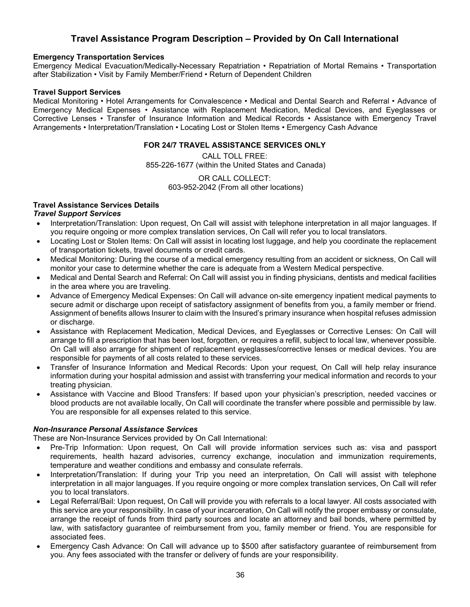# **Travel Assistance Program Description – Provided by On Call International**

#### **Emergency Transportation Services**

Emergency Medical Evacuation/Medically-Necessary Repatriation • Repatriation of Mortal Remains • Transportation after Stabilization • Visit by Family Member/Friend • Return of Dependent Children

#### **Travel Support Services**

Medical Monitoring • Hotel Arrangements for Convalescence • Medical and Dental Search and Referral • Advance of Emergency Medical Expenses • Assistance with Replacement Medication, Medical Devices, and Eyeglasses or Corrective Lenses • Transfer of Insurance Information and Medical Records • Assistance with Emergency Travel Arrangements • Interpretation/Translation • Locating Lost or Stolen Items • Emergency Cash Advance

#### **FOR 24/7 TRAVEL ASSISTANCE SERVICES ONLY**

CALL TOLL FREE: 855-226-1677 (within the United States and Canada)

> OR CALL COLLECT: 603-952-2042 (From all other locations)

# **Travel Assistance Services Details**

# *Travel Support Services*

- Interpretation/Translation: Upon request, On Call will assist with telephone interpretation in all major languages. If you require ongoing or more complex translation services, On Call will refer you to local translators.
- Locating Lost or Stolen Items: On Call will assist in locating lost luggage, and help you coordinate the replacement of transportation tickets, travel documents or credit cards.
- Medical Monitoring: During the course of a medical emergency resulting from an accident or sickness, On Call will monitor your case to determine whether the care is adequate from a Western Medical perspective.
- Medical and Dental Search and Referral: On Call will assist you in finding physicians, dentists and medical facilities in the area where you are traveling.
- Advance of Emergency Medical Expenses: On Call will advance on-site emergency inpatient medical payments to secure admit or discharge upon receipt of satisfactory assignment of benefits from you, a family member or friend. Assignment of benefits allows Insurer to claim with the Insured's primary insurance when hospital refuses admission or discharge.
- Assistance with Replacement Medication, Medical Devices, and Eyeglasses or Corrective Lenses: On Call will arrange to fill a prescription that has been lost, forgotten, or requires a refill, subject to local law, whenever possible. On Call will also arrange for shipment of replacement eyeglasses/corrective lenses or medical devices. You are responsible for payments of all costs related to these services.
- Transfer of Insurance Information and Medical Records: Upon your request, On Call will help relay insurance information during your hospital admission and assist with transferring your medical information and records to your treating physician.
- Assistance with Vaccine and Blood Transfers: If based upon your physician's prescription, needed vaccines or blood products are not available locally, On Call will coordinate the transfer where possible and permissible by law. You are responsible for all expenses related to this service.

# *Non-Insurance Personal Assistance Services*

These are Non-Insurance Services provided by On Call International:

- Pre-Trip Information: Upon request, On Call will provide information services such as: visa and passport requirements, health hazard advisories, currency exchange, inoculation and immunization requirements, temperature and weather conditions and embassy and consulate referrals.
- Interpretation/Translation: If during your Trip you need an interpretation, On Call will assist with telephone interpretation in all major languages. If you require ongoing or more complex translation services, On Call will refer you to local translators.
- Legal Referral/Bail: Upon request, On Call will provide you with referrals to a local lawyer. All costs associated with this service are your responsibility. In case of your incarceration, On Call will notify the proper embassy or consulate, arrange the receipt of funds from third party sources and locate an attorney and bail bonds, where permitted by law, with satisfactory guarantee of reimbursement from you, family member or friend. You are responsible for associated fees.
- Emergency Cash Advance: On Call will advance up to \$500 after satisfactory guarantee of reimbursement from you. Any fees associated with the transfer or delivery of funds are your responsibility.